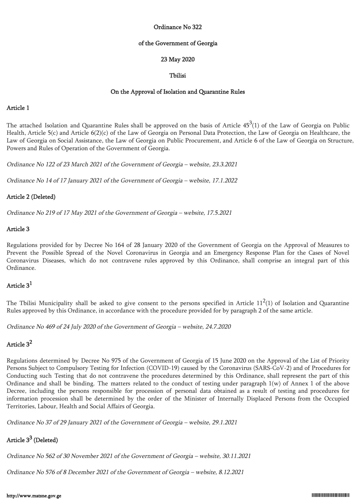## Ordinance No 322

#### of the Government of Georgia

# 23 May 2020

# Tbilisi

## On the Approval of Isolation and Quarantine Rules

# Article 1

The attached Isolation and Quarantine Rules shall be approved on the basis of Article  $45^3(1)$  of the Law of Georgia on Public Health, Article 5(c) and Article 6(2)(c) of the Law of Georgia on Personal Data Protection, the Law of Georgia on Healthcare, the Law of Georgia on Social Assistance, the Law of Georgia on Public Procurement, and Article 6 of the Law of Georgia on Structure, Powers and Rules of Operation of the Government of Georgia.

Ordinance No 122 of 23 March 2021 of the Government of Georgia – website, 23.3.2021

Ordinance No 14 of 17 January 2021 of the Government of Georgia – website, 17.1.2022

# Article 2 (Deleted)

Ordinance No 219 of 17 May 2021 of the Government of Georgia – website, 17.5.2021

# Article 3

Regulations provided for by Decree No 164 of 28 January 2020 of the Government of Georgia on the Approval of Measures to Prevent the Possible Spread of the Novel Coronavirus in Georgia and an Emergency Response Plan for the Cases of Novel Coronavirus Diseases, which do not contravene rules approved by this Ordinance, shall comprise an integral part of this Ordinance.

# Article 3<sup>1</sup>

The Tbilisi Municipality shall be asked to give consent to the persons specified in Article  $11^2(1)$  of Isolation and Quarantine Rules approved by this Ordinance, in accordance with the procedure provided for by paragraph 2 of the same article.

Ordinance No 469 of 24 July 2020 of the Government of Georgia – website, 24.7.2020

# Article 3<sup>2</sup>

Regulations determined by Decree No 975 of the Government of Georgia of 15 June 2020 on the Approval of the List of Priority Persons Subject to Compulsory Testing for Infection (COVID-19) caused by the Coronavirus (SARS-CoV-2) and of Procedures for Conducting such Testing that do not contravene the procedures determined by this Ordinance, shall represent the part of this Ordinance and shall be binding. The matters related to the conduct of testing under paragraph  $1(w)$  of Annex 1 of the above Decree, including the persons responsible for procession of personal data obtained as a result of testing and procedures for information procession shall be determined by the order of the Minister of Internally Displaced Persons from the Occupied Territories, Labour, Health and Social Affairs of Georgia.

Ordinance No 37 of 29 January 2021 of the Government of Georgia – website, 29.1.2021

# Article  $3^3$  (Deleted)

Ordinance No 562 of 30 November 2021 of the Government of Georgia – website, 30.11.2021

Ordinance No 576 of 8 December 2021 of the Government of Georgia – website, 8.12.2021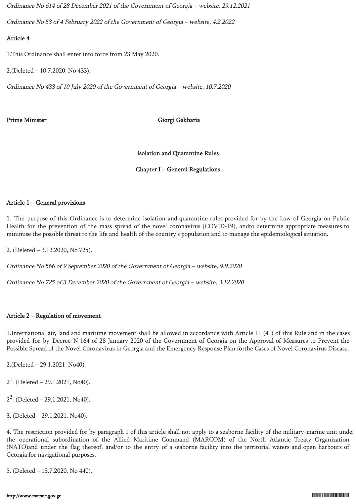Ordinance No 614 of 28 December 2021 of the Government of Georgia – website, 29.12.2021

Ordinance No 53 of 4 February 2022 of the Government of Georgia – website, 4.2.2022

# Article 4

1.This Ordinance shall enter into force from 23 May 2020.

2.(Deleted – 10.7.2020, No 433).

Ordinance No 433 of 10 July 2020 of the Government of Georgia – website, 10.7.2020

# Prime Minister Giorgi Gakharia

Isolation and Quarantine Rules

# Chapter I − General Regulations

# Article 1 − General provisions

1. The purpose of this Ordinance is to determine isolation and quarantine rules provided for by the Law of Georgia on Public Health for the prevention of the mass spread of the novel coronavirus (COVID-19), andto determine appropriate measures to minimise the possible threat to the life and health of the country's population and to manage the epidemiological situation.

2. (Deleted – 3.12.2020, No 725).

Ordinance No 566 of 9 September 2020 of the Government of Georgia – website, 9.9.2020

Ordinance No 725 of 3 December 2020 of the Government of Georgia – website, 3.12.2020

# Article 2 – Regulation of movement

1. International air, land and maritime movement shall be allowed in accordance with Article 11  $(4^1)$  of this Rule and in the cases provided for by Decree N 164 of 28 January 2020 of the Government of Georgia on the Approval of Measures to Prevent the Possible Spread of the Novel Coronavirus in Georgia and the Emergency Response Plan forthe Cases of Novel Coronavirus Disease.

2.(Deleted – 29.1.2021, No40).

 $2<sup>1</sup>$ . (Deleted – 29.1.2021, No40).

 $2^2$ . (Deleted – 29.1.2021, No40).

3. (Deleted – 29.1.2021, No40).

4. The restriction provided for by paragraph 1 of this article shall not apply to a seaborne facility of the military-marine unit under the operational subordination of the Allied Maritime Command (MARCOM) of the North Atlantic Treaty Organization (NATO)and under the flag thereof, and/or to the entry of a seaborne facility into the territorial waters and open harbours of Georgia for navigational purposes.

5. (Deleted – 15.7.2020, No 440).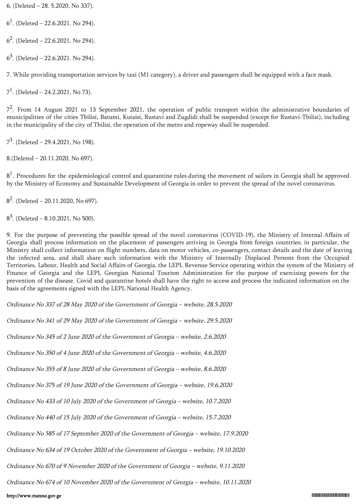6. (Deleted – 28. 5.2020, No 337).

 $6<sup>1</sup>$ . (Deleted – 22.6.2021. No 294).

 $6<sup>2</sup>$ . (Deleted – 22.6.2021. No 294).

 $6<sup>3</sup>$ . (Deleted – 22.6.2021. No 294).

7. While providing transportation services by taxi (M1 category), a driver and passengers shall be equipped with a face mask.

 $7<sup>1</sup>$ . (Deleted – 24.2.2021, No 73).

7<sup>2</sup>. From 14 August 2021 to 13 September 2021, the operation of public transport within the administrative boundaries of municipalities of the cities Tbilisi, Batumi, Kutaisi, Rustavi and Zugdidi shall be suspended (except for Rustavi-Tbilisi), including in the municipality of the city of Tbilisi, the operation of the metro and ropeway shall be suspended.

 $7^3$ . (Deleted – 29.4.2021, No 198).

8.(Deleted – 20.11.2020, No 697).

 $8<sup>1</sup>$ . Procedures for the epidemiological control and quarantine rules during the movement of sailors in Georgia shall be approved by the Ministry of Economy and Sustainable Development of Georgia in order to prevent the spread of the novel coronavirus.

 $8<sup>2</sup>$ . (Deleted – 20.11.2020, No 697).

 $8<sup>3</sup>$ . (Deleted – 8.10.2021, No 500).

9. For the purpose of preventing the possible spread of the novel coronavirus (COVID-19), the Ministry of Internal Affairs of Georgia shall process information on the placement of passengers arriving in Georgia from foreign countries; in particular, the Ministry shall collect information on flight numbers, data on motor vehicles, co-passengers, contact details and the date of leaving the infected area, and shall share such information with the Ministry of Internally Displaced Persons from the Occupied Territories, Labour, Health and Social Affairs of Georgia, the LEPL Revenue Service operating within the system of the Ministry of Finance of Georgia and the LEPL Georgian National Tourism Administration for the purpose of exercising powers for the prevention of the disease. Covid and quarantine hotels shall have the right to access and process the indicated information on the basis of the agreements signed with the LEPL National Health Agency.

Ordinance No 337 of 28 May 2020 of the Government of Georgia – website, 28.5.2020

Ordinance No 341 of 29 May 2020 of the Government of Georgia – website, 29.5.2020

Ordinance No 345 of 2 June 2020 of the Government of Georgia – website, 2.6.2020

Ordinance No 350 of 4 June 2020 of the Government of Georgia – website, 4.6.2020

Ordinance No 355 of 8 June 2020 of the Government of Georgia – website, 8.6.2020

Ordinance No 375 of 19 June 2020 of the Government of Georgia – website, 19.6.2020

Ordinance No 433 of 10 July 2020 of the Government of Georgia – website, 10.7.2020

Ordinance No 440 of 15 July 2020 of the Government of Georgia – website, 15.7.2020

Ordinance No 585 of 17 September 2020 of the Government of Georgia – website, 17.9.2020

Ordinance No 634 of 19 October 2020 of the Government of Georgia – website, 19.10.2020

Ordinance No 670 of 9 November 2020 of the Government of Georgia – website, 9.11.2020

Ordinance No 674 of 10 November 2020 of the Government of Georgia – website, 10.11.2020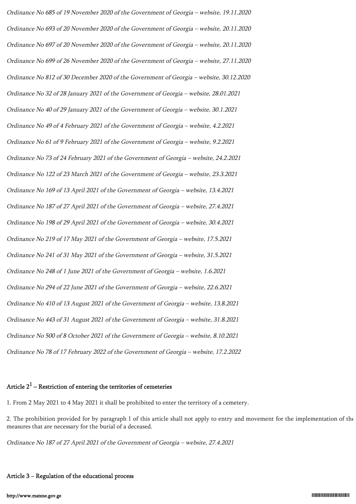Ordinance No 685 of 19 November 2020 of the Government of Georgia – website, 19.11.2020 Ordinance No 693 of 20 November 2020 of the Government of Georgia – website, 20.11.2020 Ordinance No 697 of 20 November 2020 of the Government of Georgia – website, 20.11.2020 Ordinance No 699 of 26 November 2020 of the Government of Georgia – website, 27.11.2020 Ordinance No 812 of 30 December 2020 of the Government of Georgia – website, 30.12.2020 Ordinance No 32 of 28 January 2021 of the Government of Georgia – website, 28.01.2021 Ordinance No 40 of 29 January 2021 of the Government of Georgia – website, 30.1.2021 Ordinance No 49 of 4 February 2021 of the Government of Georgia – website, 4.2.2021 Ordinance No 61 of 9 February 2021 of the Government of Georgia – website, 9.2.2021 Ordinance No 73 of 24 February 2021 of the Government of Georgia – website, 24.2.2021 Ordinance No 122 of 23 March 2021 of the Government of Georgia – website, 23.3.2021 Ordinance No 169 of 13 April 2021 of the Government of Georgia – website, 13.4.2021 Ordinance No 187 of 27 April 2021 of the Government of Georgia – website, 27.4.2021 Ordinance No 198 of 29 April 2021 of the Government of Georgia – website, 30.4.2021 Ordinance No 219 of 17 May 2021 of the Government of Georgia – website, 17.5.2021 Ordinance No 241 of 31 May 2021 of the Government of Georgia – website, 31.5.2021 Ordinance No 248 of 1 June 2021 of the Government of Georgia – website, 1.6.2021 Ordinance No 294 of 22 June 2021 of the Government of Georgia – website, 22.6.2021 Ordinance No 410 of 13 August 2021 of the Government of Georgia – website, 13.8.2021 Ordinance No 443 of 31 August 2021 of the Government of Georgia – website, 31.8.2021 Ordinance No 500 of 8 October 2021 of the Government of Georgia – website, 8.10.2021 Ordinance No 78 of 17 February 2022 of the Government of Georgia – website, 17.2.2022

# Article  $2^1$  – Restriction of entering the territories of cemeteries

1. From 2 May 2021 to 4 May 2021 it shall be prohibited to enter the territory of a cemetery.

2. The prohibition provided for by paragraph 1 of this article shall not apply to entry and movement for the implementation of the measures that are necessary for the burial of a deceased.

Ordinance No 187 of 27 April 2021 of the Government of Georgia – website, 27.4.2021

## Article 3 − Regulation of the educational process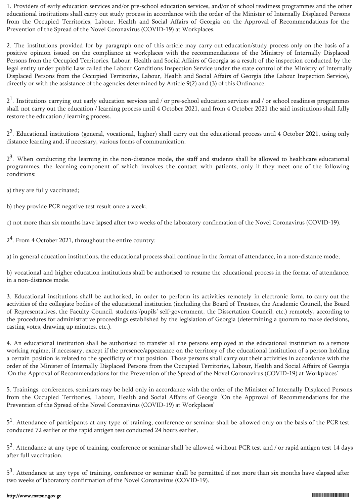1. Providers of early education services and/or pre-school education services, and/or of school readiness programmes and the other educational institutions shall carry out study process in accordance with the order of the Minister of Internally Displaced Persons from the Occupied Territories, Labour, Health and Social Affairs of Georgia on the Approval of Recommendations for the Prevention of the Spread of the Novel Coronavirus (COVID-19) at Workplaces.

2. The institutions provided for by paragraph one of this article may carry out education/study process only on the basis of a positive opinion issued on the compliance at workplaces with the recommendations of the Ministry of Internally Displaced Persons from the Occupied Territories, Labour, Health and Social Affairs of Georgia as a result of the inspection conducted by the legal entity under public Law called the Labour Conditions Inspection Service under the state control of the Ministry of Internally Displaced Persons from the Occupied Territories, Labour, Health and Social Affairs of Georgia (the Labour Inspection Service), directly or with the assistance of the agencies determined by Article 9(2) and (3) of this Ordinance.

 $2<sup>1</sup>$ . Institutions carrying out early education services and / or pre-school education services and / or school readiness programmes shall not carry out the education / learning process until 4 October 2021, and from 4 October 2021 the said institutions shall fully restore the education / learning process.

2<sup>2</sup>. Educational institutions (general, vocational, higher) shall carry out the educational process until 4 October 2021, using only distance learning and, if necessary, various forms of communication.

 $2<sup>3</sup>$ . When conducting the learning in the non-distance mode, the staff and students shall be allowed to healthcare educational programmes, the learning component of which involves the contact with patients, only if they meet one of the following conditions:

a) they are fully vaccinated;

b) they provide PCR negative test result once a week;

c) not more than six months have lapsed after two weeks of the laboratory confirmation of the Novel Coronavirus (COVID-19).

2<sup>4</sup>. From 4 October 2021, throughout the entire country:

a) in general education institutions, the educational process shall continue in the format of attendance, in a non-distance mode;

b) vocational and higher education institutions shall be authorised to resume the educational process in the format of attendance, in a non-distance mode.

3. Educational institutions shall be authorised, in order to perform its activities remotely in electronic form, to carry out the activities of the collegiate bodies of the educational institution (including the Board of Trustees, the Academic Council, the Board of Representatives, the Faculty Council, students'/pupils' self-government, the Dissertation Council, etc.) remotely, according to the procedures for administrative proceedings established by the legislation of Georgia (determining a quorum to make decisions, casting votes, drawing up minutes, etc.).

4. An educational institution shall be authorised to transfer all the persons employed at the educational institution to a remote working regime, if necessary, except if the presence/appearance on the territory of the educational institution of a person holding a certain position is related to the specificity of that position. Those persons shall carry out their activities in accordance with the order of the Minister of Internally Displaced Persons from the Occupied Territories, Labour, Health and Social Affairs of Georgia 'On the Approval of Recommendations for the Prevention of the Spread of the Novel Coronavirus (COVID-19) at Workplaces'

5. Trainings, conferences, seminars may be held only in accordance with the order of the Minister of Internally Displaced Persons from the Occupied Territories, Labour, Health and Social Affairs of Georgia 'On the Approval of Recommendations for the Prevention of the Spread of the Novel Coronavirus (COVID-19) at Workplaces'

5<sup>1</sup>. Attendance of participants at any type of training, conference or seminar shall be allowed only on the basis of the PCR test conducted 72 earlier or the rapid antigen test conducted 24 hours earlier.

5<sup>2</sup>. Attendance at any type of training, conference or seminar shall be allowed without PCR test and / or rapid antigen test 14 days after full vaccination.

5<sup>3</sup>. Attendance at any type of training, conference or seminar shall be permitted if not more than six months have elapsed after two weeks of laboratory confirmation of the Novel Coronavirus (COVID-19).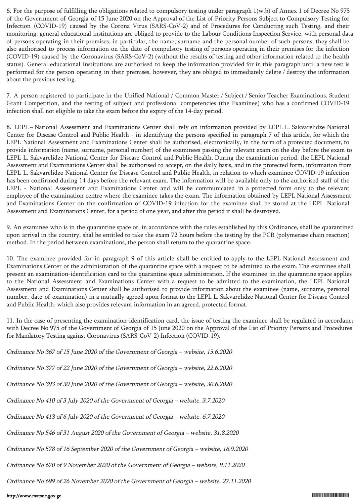6. For the purpose of fulfilling the obligations related to compulsory testing under paragraph 1(w.b) of Annex 1 of Decree No 975 of the Government of Georgia of 15 June 2020 on the Approval of the List of Priority Persons Subject to Compulsory Testing for Infection (COVID-19) caused by the Corona Virus (SARS-CoV-2) and of Procedures for Conducting such Testing, and their monitoring, general educational institutions are obliged to provide to the Labour Conditions Inspection Service, with personal data of persons operating in their premises, in particular, the name, surname and the personal number of such persons; they shall be also authorised to process information on the date of compulsory testing of persons operating in their premises for the infection (COVID-19) caused by the Coronavirus (SARS-CoV-2) (without the results of testing and other information related to the health status). General educational institutions are authorised to keep the information provided for in this paragraph until a new test is performed for the person operating in their premises, however, they are obliged to immediately delete / destroy the information about the previous testing.

7. A person registered to participate in the Unified National / Common Master / Subject / Senior Teacher Examinations, Student Grant Competition, and the testing of subject and professional competencies (the Examinee) who has a confirmed COVID-19 infection shall not eligible to take the exam before the expiry of the 14-day period.

8. LEPL – National Assessment and Examinations Center shall rely on information provided by LEPL L. Sakvarelidze National Center for Disease Control and Public Health - in identifying the persons specified in paragraph 7 of this article, for which the LEPL National Assessment and Examinations Center shall be authorised, electronically, in the form of a protected document, to provide information (name, surname, personal number) of the examinees passing the relevant exam on the day before the exam to LEPL L. Sakvarelidze National Center for Disease Control and Public Health. During the examination period, the LEPL National Assessment and Examinations Center shall be authorised to accept, on the daily basis, and in the protected form, information from LEPL L. Sakvarelidze National Center for Disease Control and Public Health, in relation to which examinee COVID-19 infection has been confirmed during 14 days before the relevant exam. The information will be available only to the authorised staff of the LEPL - National Assessment and Examinations Center and will be communicated in a protected form only to the relevant employee of the examination centre where the examinee takes the exam. The information obtained by LEPL National Assessment and Examinations Center on the confirmation of COVID-19 infection for the examinee shall be stored at the LEPL National Assessment and Examinations Center, for a period of one year, and after this period it shall be destroyed.

9. An examinee who is in the quarantine space or, in accordance with the rules established by this Ordinance, shall be quarantined upon arrival in the country, shal be entitled to take the exam 72 hours before the testing by the PCR (polymerase chain reaction) method. In the period between examinations, the person shall return to the quarantine space.

10. The examinee provided for in paragraph 9 of this article shall be entitled to apply to the LEPL National Assessment and Examinations Center or the administration of the quarantine space with a request to be admitted to the exam. The examinee shall present an examination-identification card to the quarantine space administration. If the examinee in the quarantine space applies to the National Assessment and Examinations Center with a request to be admitted to the examination, the LEPL National Assessment and Examinations Center shall be authorised to provide information about the examinee (name, surname, personal number, date of examination) in a mutually agreed upon format to the LEPL L. Sakvarelidze National Center for Disease Control and Public Health, which also provides relevant information in an agreed, protected format.

11. In the case of presenting the examination-identification card, the issue of testing the examinee shall be regulated in accordance with Decree No 975 of the Government of Georgia of 15 June 2020 on the Approval of the List of Priority Persons and Procedures for Mandatory Testing against Coronavirus (SARS-CoV-2) Infection (COVID-19).

| Ordinance No 367 of 15 June 2020 of the Government of Georgia – website, 15.6.2020      |
|-----------------------------------------------------------------------------------------|
| Ordinance No 377 of 22 June 2020 of the Government of Georgia - website, 22.6.2020      |
| Ordinance No 393 of 30 June 2020 of the Government of Georgia - website, 30.6.2020      |
| Ordinance No 410 of 3 July 2020 of the Government of Georgia - website, 3.7.2020        |
| Ordinance No 413 of 6 July 2020 of the Government of Georgia - website, 6.7.2020        |
| Ordinance No 546 of 31 August 2020 of the Government of Georgia - website, 31.8.2020    |
| Ordinance No 578 of 16 September 2020 of the Government of Georgia - website, 16.9.2020 |
| Ordinance No 670 of 9 November 2020 of the Government of Georgia – website, 9.11.2020   |

Ordinance No 699 of 26 November 2020 of the Government of Georgia – website, 27.11.2020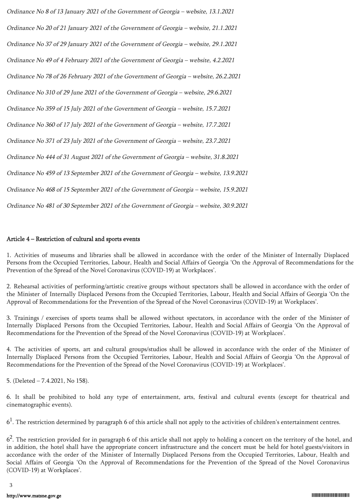| Ordinance No 8 of 13 January 2021 of the Government of Georgia - website, 13.1.2021     |
|-----------------------------------------------------------------------------------------|
| Ordinance No 20 of 21 January 2021 of the Government of Georgia - website, 21.1.2021    |
| Ordinance No 37 of 29 January 2021 of the Government of Georgia - website, 29.1.2021    |
| Ordinance No 49 of 4 February 2021 of the Government of Georgia - website, 4.2.2021     |
| Ordinance No 78 of 26 February 2021 of the Government of Georgia - website, 26.2.2021   |
| Ordinance No 310 of 29 June 2021 of the Government of Georgia - website, 29.6.2021      |
| Ordinance No 359 of 15 July 2021 of the Government of Georgia - website, 15.7.2021      |
| Ordinance No 360 of 17 July 2021 of the Government of Georgia - website, 17.7.2021      |
| Ordinance No 371 of 23 July 2021 of the Government of Georgia - website, 23.7.2021      |
| Ordinance No 444 of 31 August 2021 of the Government of Georgia - website, 31.8.2021    |
| Ordinance No 459 of 13 September 2021 of the Government of Georgia - website, 13.9.2021 |
| Ordinance No 468 of 15 September 2021 of the Government of Georgia - website, 15.9.2021 |
| Ordinance No 481 of 30 September 2021 of the Government of Georgia - website, 30.9.2021 |

#### Article 4 – Restriction of cultural and sports events

1. Activities of museums and libraries shall be allowed in accordance with the order of the Minister of Internally Displaced Persons from the Occupied Territories, Labour, Health and Social Affairs of Georgia 'On the Approval of Recommendations for the Prevention of the Spread of the Novel Coronavirus (COVID-19) at Workplaces'.

2. Rehearsal activities of performing/artistic creative groups without spectators shall be allowed in accordance with the order of the Minister of Internally Displaced Persons from the Occupied Territories, Labour, Health and Social Affairs of Georgia 'On the Approval of Recommendations for the Prevention of the Spread of the Novel Coronavirus (COVID-19) at Workplaces'.

3. Trainings / exercises of sports teams shall be allowed without spectators, in accordance with the order of the Minister of Internally Displaced Persons from the Occupied Territories, Labour, Health and Social Affairs of Georgia 'On the Approval of Recommendations for the Prevention of the Spread of the Novel Coronavirus (COVID-19) at Workplaces'.

4. The activities of sports, art and cultural groups/studios shall be allowed in accordance with the order of the Minister of Internally Displaced Persons from the Occupied Territories, Labour, Health and Social Affairs of Georgia 'On the Approval of Recommendations for the Prevention of the Spread of the Novel Coronavirus (COVID-19) at Workplaces'.

5. (Deleted – 7.4.2021, No 158).

6. It shall be prohibited to hold any type of entertainment, arts, festival and cultural events (except for theatrical and cinematographic events).

 $6<sup>1</sup>$ . The restriction determined by paragraph 6 of this article shall not apply to the activities of children's entertainment centres.

 $6<sup>2</sup>$ . The restriction provided for in paragraph 6 of this article shall not apply to holding a concert on the territory of the hotel, and in addition, the hotel shall have the appropriate concert infrastructure and the concert must be held for hotel guests/visitors in accordance with the order of the Minister of Internally Displaced Persons from the Occupied Territories, Labour, Health and Social Affairs of Georgia 'On the Approval of Recommendations for the Prevention of the Spread of the Novel Coronavirus (COVID-19) at Workplaces'.

3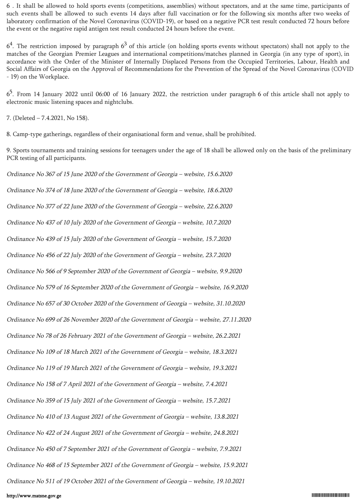6 . It shall be allowed to hold sports events (competitions, assemblies) without spectators, and at the same time, participants of such events shall be allowed to such events 14 days after full vaccination or for the following six months after two weeks of laboratory confirmation of the Novel Coronavirus (COVID-19), or based on a negative PCR test result conducted 72 hours before the event or the negative rapid antigen test result conducted 24 hours before the event.

 $6<sup>4</sup>$ . The restriction imposed by paragraph  $6<sup>3</sup>$  of this article (on holding sports events without spectators) shall not apply to the matches of the Georgian Premier Leagues and international competitions/matches planned in Georgia (in any type of sport), in accordance with the Order of the Minister of Internally Displaced Persons from the Occupied Territories, Labour, Health and Social Affairs of Georgia on the Approval of Recommendations for the Prevention of the Spread of the Novel Coronavirus (COVID - 19) on the Workplace.

 $6<sup>5</sup>$ . From 14 January 2022 until 06:00 of 16 January 2022, the restriction under paragraph 6 of this article shall not apply to electronic music listening spaces and nightclubs.

7. (Deleted – 7.4.2021, No 158).

8. Camp-type gatherings, regardless of their organisational form and venue, shall be prohibited.

9. Sports tournaments and training sessions for teenagers under the age of 18 shall be allowed only on the basis of the preliminary PCR testing of all participants.

Ordinance No 367 of 15 June 2020 of the Government of Georgia – website, 15.6.2020 Ordinance No 374 of 18 June 2020 of the Government of Georgia – website, 18.6.2020 Ordinance No 377 of 22 June 2020 of the Government of Georgia – website, 22.6.2020 Ordinance No 437 of 10 July 2020 of the Government of Georgia – website, 10.7.2020 Ordinance No 439 of 15 July 2020 of the Government of Georgia – website, 15.7.2020 Ordinance No 456 of 22 July 2020 of the Government of Georgia – website, 23.7.2020 Ordinance No 566 of 9 September 2020 of the Government of Georgia – website, 9.9.2020 Ordinance No 579 of 16 September 2020 of the Government of Georgia – website, 16.9.2020 Ordinance No 657 of 30 October 2020 of the Government of Georgia – website, 31.10.2020 Ordinance No 699 of 26 November 2020 of the Government of Georgia – website, 27.11.2020 Ordinance No 78 of 26 February 2021 of the Government of Georgia – website, 26.2.2021 Ordinance No 109 of 18 March 2021 of the Government of Georgia – website, 18.3.2021 Ordinance No 119 of 19 March 2021 of the Government of Georgia – website, 19.3.2021 Ordinance No 158 of 7 April 2021 of the Government of Georgia – website, 7.4.2021 Ordinance No 359 of 15 July 2021 of the Government of Georgia – website, 15.7.2021 Ordinance No 410 of 13 August 2021 of the Government of Georgia – website, 13.8.2021 Ordinance No 422 of 24 August 2021 of the Government of Georgia – website, 24.8.2021 Ordinance No 450 of 7 September 2021 of the Government of Georgia – website, 7.9.2021 Ordinance No 468 of 15 September 2021 of the Government of Georgia – website, 15.9.2021 Ordinance No 511 of 19 October 2021 of the Government of Georgia – website, 19.10.2021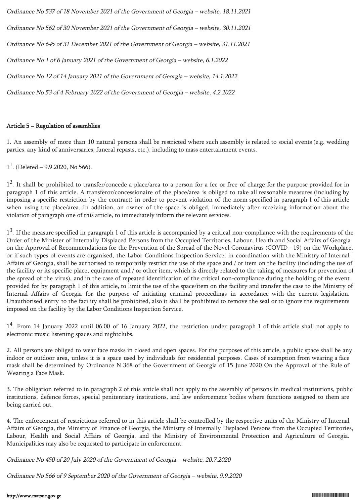Ordinance No 537 of 18 November 2021 of the Government of Georgia – website, 18.11.2021 Ordinance No 562 of 30 November 2021 of the Government of Georgia – website, 30.11.2021 Ordinance No 645 of 31 December 2021 of the Government of Georgia – website, 31.11.2021 Ordinance No 1 of 6 January 2021 of the Government of Georgia – website, 6.1.2022 Ordinance No 12 of 14 January 2021 of the Government of Georgia – website, 14.1.2022 Ordinance No 53 of 4 February 2022 of the Government of Georgia – website, 4.2.2022

## Article 5 − Regulation of assemblies

1. An assembly of more than 10 natural persons shall be restricted where such assembly is related to social events (e.g. wedding parties, any kind of anniversaries, funeral repasts, etc.), including to mass entertainment events.

 $1<sup>1</sup>$ . (Deleted – 9.9.2020, No 566).

1<sup>2</sup>. It shall be prohibited to transfer/concede a place/area to a person for a fee or free of charge for the purpose provided for in paragraph 1 of this article. A transferor/concessionaire of the place/area is obliged to take all reasonable measures (including by imposing a specific restriction by the contract) in order to prevent violation of the norm specified in paragraph 1 of this article when using the place/area. In addition, an owner of the space is obliged, immediately after receiving information about the violation of paragraph one of this article, to immediately inform the relevant services.

1<sup>3</sup>. If the measure specified in paragraph 1 of this article is accompanied by a critical non-compliance with the requirements of the Order of the Minister of Internally Displaced Persons from the Occupied Territories, Labour, Health and Social Affairs of Georgia on the Approval of Recommendations for the Prevention of the Spread of the Novel Coronavirus (COVID - 19) on the Workplace, or if such types of events are organised, the Labor Conditions Inspection Service, in coordination with the Ministry of Internal Affairs of Georgia, shall be authorised to temporarily restrict the use of the space and / or item on the facility (including the use of the facility or its specific place, equipment and / or other item, which is directly related to the taking of measures for prevention of the spread of the virus), and in the case of repeated identification of the critical non-compliance during the holding of the event provided for by paragraph 1 of this article, to limit the use of the space/item on the facility and transfer the case to the Ministry of Internal Affairs of Georgia for the purpose of initiating criminal proceedings in accordance with the current legislation. Unauthorised entry to the facility shall be prohibited, also it shall be prohibited to remove the seal or to ignore the requirements imposed on the facility by the Labor Conditions Inspection Service.

1 4 . From 14 January 2022 until 06:00 of 16 January 2022, the restriction under paragraph 1 of this article shall not apply to electronic music listening spaces and nightclubs.

2. All persons are obliged to wear face masks in closed and open spaces. For the purposes of this article, a public space shall be any indoor or outdoor area, unless it is a space used by individuals for residential purposes. Cases of exemption from wearing a face mask shall be determined by Ordinance N 368 of the Government of Georgia of 15 June 2020 On the Approval of the Rule of Wearing a Face Mask.

3. The obligation referred to in paragraph 2 of this article shall not apply to the assembly of persons in medical institutions, public institutions, defence forces, special penitentiary institutions, and law enforcement bodies where functions assigned to them are being carried out.

4. The enforcement of restrictions referred to in this article shall be controlled by the respective units of the Ministry of Internal Affairs of Georgia, the Ministry of Finance of Georgia, the Ministry of Internally Displaced Persons from the Occupied Territories, Labour, Health and Social Affairs of Georgia, and the Ministry of Environmental Protection and Agriculture of Georgia. Municipalities may also be requested to participate in enforcement.

Ordinance No 450 of 20 July 2020 of the Government of Georgia – website, 20.7.2020

Ordinance No 566 of 9 September 2020 of the Government of Georgia – website, 9.9.2020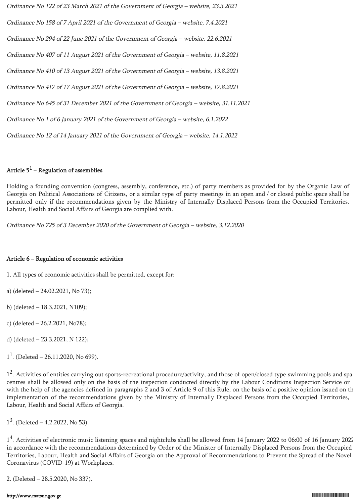Ordinance No 122 of 23 March 2021 of the Government of Georgia – website, 23.3.2021 Ordinance No 158 of 7 April 2021 of the Government of Georgia – website, 7.4.2021 Ordinance No 294 of 22 June 2021 of the Government of Georgia – website, 22.6.2021 Ordinance No 407 of 11 August 2021 of the Government of Georgia – website, 11.8.2021 Ordinance No 410 of 13 August 2021 of the Government of Georgia – website, 13.8.2021 Ordinance No 417 of 17 August 2021 of the Government of Georgia – website, 17.8.2021 Ordinance No 645 of 31 December 2021 of the Government of Georgia – website, 31.11.2021 Ordinance No 1 of 6 January 2021 of the Government of Georgia – website, 6.1.2022 Ordinance No 12 of 14 January 2021 of the Government of Georgia – website, 14.1.2022

# Article  $5^1$  – Regulation of assemblies

Holding a founding convention (congress, assembly, conference, etc.) of party members as provided for by the Organic Law of Georgia on Political Associations of Citizens, or a similar type of party meetings in an open and / or closed public space shall be permitted only if the recommendations given by the Ministry of Internally Displaced Persons from the Occupied Territories, Labour, Health and Social Affairs of Georgia are complied with.

Ordinance No 725 of 3 December 2020 of the Government of Georgia – website, 3.12.2020

#### Article 6 − Regulation of economic activities

1. All types of economic activities shall be permitted, except for:

a) (deleted – 24.02.2021, No 73);

b) (deleted – 18.3.2021, N109);

c) (deleted – 26.2.2021, No78);

d) (deleted – 23.3.2021, N 122);

 $1<sup>1</sup>$ . (Deleted – 26.11.2020, No 699).

1<sup>2</sup>. Activities of entities carrying out sports-recreational procedure/activity, and those of open/closed type swimming pools and spa centres shall be allowed only on the basis of the inspection conducted directly by the Labour Conditions Inspection Service or with the help of the agencies defined in paragraphs 2 and 3 of Article 9 of this Rule, on the basis of a positive opinion issued on th implementation of the recommendations given by the Ministry of Internally Displaced Persons from the Occupied Territories, Labour, Health and Social Affairs of Georgia.

 $1^3$ . (Deleted  $-$  4.2.2022, No 53).

1<sup>4</sup>. Activities of electronic music listening spaces and nightclubs shall be allowed from 14 January 2022 to 06:00 of 16 January 2022 in accordance with the recommendations determined by Order of the Minister of Internally Displaced Persons from the Occupied Territories, Labour, Health and Social Affairs of Georgia on the Approval of Recommendations to Prevent the Spread of the Novel Coronavirus (COVID-19) at Workplaces.

2. (Deleted – 28.5.2020, No 337).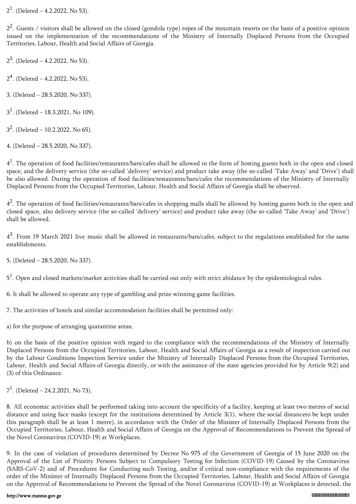$2<sup>1</sup>$ . (Deleted – 4.2.2022, No 53).

 $2<sup>2</sup>$ . Guests / visitors shall be allowed on the closed (gondola type) ropes of the mountain resorts on the basis of a positive opinion issued on the implementation of the recommendations of the Ministry of Internally Displaced Persons from the Occupied Territories, Labour, Health and Social Affairs of Georgia.

 $2^3$ . (Deleted – 4.2.2022, No 53).

 $2<sup>4</sup>$ . (Deleted – 4.2.2022, No 53).

3. (Deleted – 28.5.2020, No 337).

 $3<sup>1</sup>$ . (Deleted – 18.3.2021, No 109).

 $3^2$ . (Deleted – 10.2.2022, No 65).

4. (Deleted – 28.5.2020, No 337).

 $4<sup>1</sup>$ . The operation of food facilities/restaurants/bars/cafes shall be allowed in the form of hosting guests both in the open and closed space, and the delivery service (the so-called 'delivery' service) and product take away (the so-called 'Take Away' and 'Drive') shall be also allowed. During the operation of food facilities/restaurants/bars/cafes the recommendations of the Ministry of Internally Displaced Persons from the Occupied Territories, Labour, Health and Social Affairs of Georgia shall be observed.

 $4<sup>2</sup>$ . The operation of food facilities/restaurants/bars/cafes in shopping malls shall be allowed by hosting guests both in the open and closed space, also delivery service (the so-called 'delivery' service) and product take away (the so-called 'Take Away' and 'Drive') shall be allowed.

 $4<sup>3</sup>$ . From 19 March 2021 live music shall be allowed in restaurants/bars/cafes, subject to the regulations established for the same establishments.

5. (Deleted – 28.5.2020, No 337).

 $5<sup>1</sup>$ . Open and closed markets/market activities shall be carried out only with strict abidance by the epidemiological rules.

6. It shall be allowed to operate any type of gambling and prize winning game facilities.

7. The activities of hotels and similar accommodation facilities shall be permitted only:

a) for the purpose of arranging quarantine areas;

b) on the basis of the positive opinion with regard to the compliance with the recommendations of the Ministry of Internally Displaced Persons from the Occupied Territories, Labour, Health and Social Affairs of Georgia as a result of inspection carried out by the Labour Conditions Inspection Service under the Ministry of Internally Displaced Persons from the Occupied Territories, Labour, Health and Social Affairs of Georgia directly, or with the assistance of the state agencies provided for by Article 9(2) and (3) of this Ordinance.

 $7<sup>1</sup>$ . (Deleted – 24.2.2021, No 73).

8. All economic activities shall be performed taking into account the specificity of a facility, keeping at least two metres of social distance and using face masks (except for the institutions determined by Article 3(1), where the social distanceto be kept under this paragraph shall be at least 1 metre), in accordance with the Order of the Minister of Internally Displaced Persons from the Occupied Territories, Labour, Health and Social Affairs of Georgia on the Approval of Recommendations to Prevent the Spread of the Novel Coronavirus (COVID-19) at Workplaces.

9. In the case of violation of procedures determined by Decree No 975 of the Government of Georgia of 15 June 2020 on the Approval of the List of Priority Persons Subject to Compulsory Testing for Infection (COVID-19) Caused by the Coronavirus (SARS-CoV-2) and of Procedures for Conducting such Testing, and/or if critical non-compliance with the requirements of the order of the Minister of Internally Displaced Persons from the Occupied Territories, Labour, Health and Social Affairs of Georgia on the Approval of Recommendations to Prevent the Spread of the Novel Coronavirus (COVID-19) at Workplaces is detected, the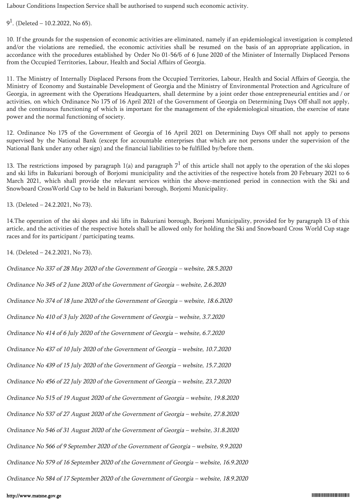Labour Conditions Inspection Service shall be authorised to suspend such economic activity.

 $9<sup>1</sup>$ . (Deleted – 10.2.2022, No 65).

10. If the grounds for the suspension of economic activities are eliminated, namely if an epidemiological investigation is completed and/or the violations are remedied, the economic activities shall be resumed on the basis of an appropriate application, in accordance with the procedures established by Order No 01-56/ნ of 6 June 2020 of the Minister of Internally Displaced Persons from the Occupied Territories, Labour, Health and Social Affairs of Georgia.

11. The Ministry of Internally Displaced Persons from the Occupied Territories, Labour, Health and Social Affairs of Georgia, the Ministry of Economy and Sustainable Development of Georgia and the Ministry of Environmental Protection and Agriculture of Georgia, in agreement with the Operations Headquarters, shall determine by a joint order those entrepreneurial entities and / or activities, on which Ordinance No 175 of 16 April 2021 of the Government of Georgia on Determining Days Off shall not apply, and the continuous functioning of which is important for the management of the epidemiological situation, the exercise of state power and the normal functioning of society.

12. Ordinance No 175 of the Government of Georgia of 16 April 2021 on Determining Days Off shall not apply to persons supervised by the National Bank (except for accountable enterprises that which are not persons under the supervision of the National Bank under any other sign) and the financial liabilities to be fulfilled by/before them.

13. The restrictions imposed by paragraph 1(a) and paragraph  $7<sup>1</sup>$  of this article shall not apply to the operation of the ski slopes and ski lifts in Bakuriani borough of Borjomi municipality and the activities of the respective hotels from 20 February 2021 to 6 March 2021, which shall provide the relevant services within the above-mentioned period in connection with the Ski and Snowboard CrossWorld Cup to be held in Bakuriani borough, Borjomi Municipality.

13. (Deleted – 24.2.2021, No 73).

14.The operation of the ski slopes and ski lifts in Bakuriani borough, Borjomi Municipality, provided for by paragraph 13 of this article, and the activities of the respective hotels shall be allowed only for holding the Ski and Snowboard Cross World Cup stage races and for its participant / participating teams.

14. (Deleted – 24.2.2021, No 73).

Ordinance No 337 of 28 May 2020 of the Government of Georgia – website, 28.5.2020 Ordinance No 345 of 2 June 2020 of the Government of Georgia – website, 2.6.2020 Ordinance No 374 of 18 June 2020 of the Government of Georgia – website, 18.6.2020 Ordinance No 410 of 3 July 2020 of the Government of Georgia – website, 3.7.2020 Ordinance No 414 of 6 July 2020 of the Government of Georgia – website, 6.7.2020 Ordinance No 437 of 10 July 2020 of the Government of Georgia – website, 10.7.2020 Ordinance No 439 of 15 July 2020 of the Government of Georgia – website, 15.7.2020 Ordinance No 456 of 22 July 2020 of the Government of Georgia – website, 23.7.2020 Ordinance No 515 of 19 August 2020 of the Government of Georgia – website, 19.8.2020 Ordinance No 537 of 27 August 2020 of the Government of Georgia – website, 27.8.2020 Ordinance No 546 of 31 August 2020 of the Government of Georgia – website, 31.8.2020 Ordinance No 566 of 9 September 2020 of the Government of Georgia – website, 9.9.2020 Ordinance No 579 of 16 September 2020 of the Government of Georgia – website, 16.9.2020 Ordinance No 584 of 17 September 2020 of the Government of Georgia – website, 18.9.2020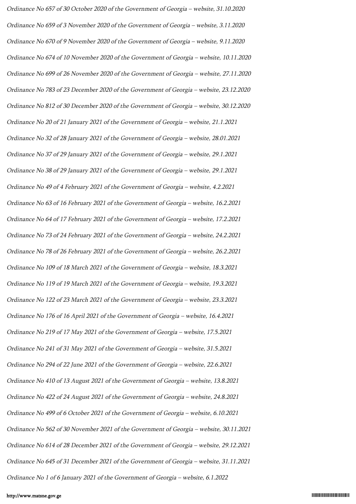Ordinance No 657 of 30 October 2020 of the Government of Georgia – website, 31.10.2020 Ordinance No 659 of 3 November 2020 of the Government of Georgia – website, 3.11.2020 Ordinance No 670 of 9 November 2020 of the Government of Georgia – website, 9.11.2020 Ordinance No 674 of 10 November 2020 of the Government of Georgia – website, 10.11.2020 Ordinance No 699 of 26 November 2020 of the Government of Georgia – website, 27.11.2020 Ordinance No 783 of 23 December 2020 of the Government of Georgia – website, 23.12.2020 Ordinance No 812 of 30 December 2020 of the Government of Georgia – website, 30.12.2020 Ordinance No 20 of 21 January 2021 of the Government of Georgia – website, 21.1.2021 Ordinance No 32 of 28 January 2021 of the Government of Georgia – website, 28.01.2021 Ordinance No 37 of 29 January 2021 of the Government of Georgia – website, 29.1.2021 Ordinance No 38 of 29 January 2021 of the Government of Georgia – website, 29.1.2021 Ordinance No 49 of 4 February 2021 of the Government of Georgia – website, 4.2.2021 Ordinance No 63 of 16 February 2021 of the Government of Georgia – website, 16.2.2021 Ordinance No 64 of 17 February 2021 of the Government of Georgia – website, 17.2.2021 Ordinance No 73 of 24 February 2021 of the Government of Georgia – website, 24.2.2021 Ordinance No 78 of 26 February 2021 of the Government of Georgia – website, 26.2.2021 Ordinance No 109 of 18 March 2021 of the Government of Georgia – website, 18.3.2021 Ordinance No 119 of 19 March 2021 of the Government of Georgia – website, 19.3.2021 Ordinance No 122 of 23 March 2021 of the Government of Georgia – website, 23.3.2021 Ordinance No 176 of 16 April 2021 of the Government of Georgia – website, 16.4.2021 Ordinance No 219 of 17 May 2021 of the Government of Georgia – website, 17.5.2021 Ordinance No 241 of 31 May 2021 of the Government of Georgia – website, 31.5.2021 Ordinance No 294 of 22 June 2021 of the Government of Georgia – website, 22.6.2021 Ordinance No 410 of 13 August 2021 of the Government of Georgia – website, 13.8.2021 Ordinance No 422 of 24 August 2021 of the Government of Georgia – website, 24.8.2021 Ordinance No 499 of 6 October 2021 of the Government of Georgia – website, 6.10.2021 Ordinance No 562 of 30 November 2021 of the Government of Georgia – website, 30.11.2021 Ordinance No 614 of 28 December 2021 of the Government of Georgia – website, 29.12.2021 Ordinance No 645 of 31 December 2021 of the Government of Georgia – website, 31.11.2021 Ordinance No 1 of 6 January 2021 of the Government of Georgia – website, 6.1.2022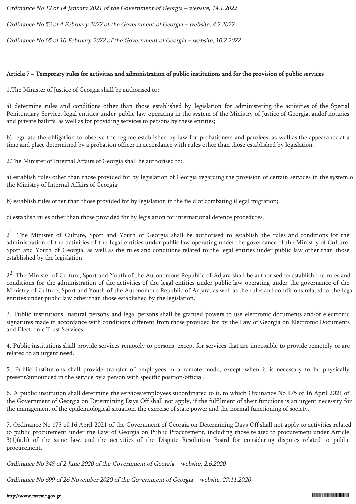Ordinance No 12 of 14 January 2021 of the Government of Georgia – website, 14.1.2022

Ordinance No 53 of 4 February 2022 of the Government of Georgia – website, 4.2.2022

Ordinance No 65 of 10 February 2022 of the Government of Georgia – website, 10.2.2022

# Article 7 − Temporary rules for activities and administration of public institutions and for the provision of public services

1.The Minister of Justice of Georgia shall be authorised to:

a) determine rules and conditions other than those established by legislation for administering the activities of the Special Penitentiary Service, legal entities under public law operating in the system of the Ministry of Justice of Georgia, andof notaries and private bailiffs, as well as for providing services to persons by these entities;

b) regulate the obligation to observe the regime established by law for probationers and parolees, as well as the appearance at a time and place determined by a probation officer in accordance with rules other than those established by legislation.

2.The Minister of Internal Affairs of Georgia shall be authorised to:

a) establish rules other than those provided for by legislation of Georgia regarding the provision of certain services in the system o the Ministry of Internal Affairs of Georgia;

b) establish rules other than those provided for by legislation in the field of combating illegal migration;

c) establish rules other than those provided for by legislation for international defence procedures.

 $2<sup>1</sup>$ . The Minister of Culture, Sport and Youth of Georgia shall be authorised to establish the rules and conditions for the administration of the activities of the legal entities under public law operating under the governance of the Ministry of Culture, Sport and Youth of Georgia, as well as the rules and conditions related to the legal entities under public law other than those established by the legislation.

2<sup>2</sup>. The Minister of Culture, Sport and Youth of the Autonomous Republic of Adjara shall be authorised to establish the rules and conditions for the administration of the activities of the legal entities under public law operating under the governance of the Ministry of Culture, Sport and Youth of the Autonomous Republic of Adjara, as well as the rules and conditions related to the legal entities under public law other than those established by the legislation.

3. Public institutions, natural persons and legal persons shall be granted powers to use electronic documents and/or electronic signatures made in accordance with conditions different from those provided for by the Law of Georgia on Electronic Documents and Electronic Trust Services.

4. Public institutions shall provide services remotely to persons, except for services that are impossible to provide remotely or are related to an urgent need.

5. Public institutions shall provide transfer of employees in a remote mode, except when it is necessary to be physically present/announced in the service by a person with specific position/official.

6. A public institution shall determine the services/employees subordinated to it, to which Ordinance No 175 of 16 April 2021 of the Government of Georgia on Determining Days Off shall not apply, if the fulfilment of their functions is an urgent necessity for the management of the epidemiological situation, the exercise of state power and the normal functioning of society.

7. Ordinance No 175 of 16 April 2021 of the Government of Georgia on Determining Days Off shall not apply to activities related to public procurement under the Law of Georgia on Public Procurement, including those related to procurement under Article 3(1)(a.h) of the same law, and the activities of the Dispute Resolution Board for considering disputes related to public procurement.

Ordinance No 345 of 2 June 2020 of the Government of Georgia – website, 2.6.2020

Ordinance No 699 of 26 November 2020 of the Government of Georgia – website, 27.11.2020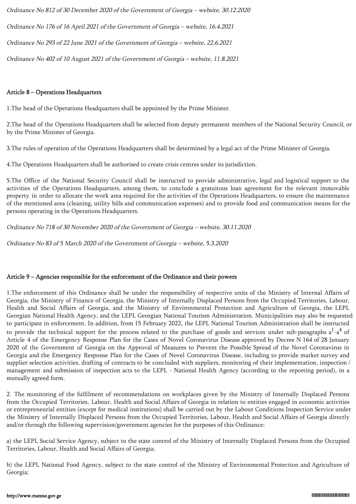Ordinance No 812 of 30 December 2020 of the Government of Georgia – website, 30.12.2020 Ordinance No 176 of 16 April 2021 of the Government of Georgia – website, 16.4.2021 Ordinance No 293 of 22 June 2021 of the Government of Georgia – website, 22.6.2021 Ordinance No 402 of 10 August 2021 of the Government of Georgia – website, 11.8.2021

## Article 8 – Operations Headquarters

1.The head of the Operations Headquarters shall be appointed by the Prime Minister.

2.The head of the Operations Headquarters shall be selected from deputy permanent members of the National Security Council, or by the Prime Minister of Georgia.

3.The rules of operation of the Operations Headquarters shall be determined by a legal act of the Prime Minister of Georgia.

4.The Operations Headquarters shall be authorised to create crisis centres under its jurisdiction.

5.The Office of the National Security Council shall be instructed to provide administrative, legal and logistical support to the activities of the Operations Headquarters, among them, to conclude a gratuitous loan agreement for the relevant immovable property in order to allocate the work area required for the activities of the Operations Headquarters, to ensure the maintenance of the mentioned area (cleaning, utility bills and communication expenses) and to provide food and communication means for the persons operating in the Operations Headquarters.

Ordinance No 718 of 30 November 2020 of the Government of Georgia – website, 30.11.2020

Ordinance No 83 of 5 March 2020 of the Government of Georgia – website, 5.3.2020

## Article 9 − Agencies responsible for the enforcement of the Ordinance and their powers

1.The enforcement of this Ordinance shall be under the responsibility of respective units of the Ministry of Internal Affairs of Georgia, the Ministry of Finance of Georgia, the Ministry of Internally Displaced Persons from the Occupied Territories, Labour, Health and Social Affairs of Georgia, and the Ministry of Environmental Protection and Agriculture of Georgia, the LEPL Georgian National Health Agency, and the LEPL Georgian National Tourism Administration. Municipalities may also be requested to participate in enforcement. In addition, from 15 February 2022, the LEPL National Tourism Administration shall be instructed to provide the technical support for the process related to the purchase of goods and services under sub-paragraphs a $^{\rm l}$ -a $^{\rm 4}$  of Article 4 of the Emergency Response Plan for the Cases of Novel Coronavirus Disease approved by Decree N 164 of 28 January 2020 of the Government of Georgia on the Approval of Measures to Prevent the Possible Spread of the Novel Coronavirus in Georgia and the Emergency Response Plan for the Cases of Novel Coronavirus Disease, including to provide market survey and supplier selection activities, drafting of contracts to be concluded with suppliers, monitoring of their implementation, inspection / management and submission of inspection acts to the LEPL - National Health Agency (according to the reporting period), in a mutually agreed form.

2. The monitoring of the fulfilment of recommendations on workplaces given by the Ministry of Internally Displaced Persons from the Occupied Territories, Labour, Health and Social Affairs of Georgia in relation to entities engaged in economic activities or entrepreneurial entities (except for medical institutions) shall be carried out by the Labour Conditions Inspection Service under the Ministry of Internally Displaced Persons from the Occupied Territories, Labour, Health and Social Affairs of Georgia directly and/or through the following supervision/government agencies for the purposes of this Ordinance:

a) the LEPL Social Service Agency, subject to the state control of the Ministry of Internally Displaced Persons from the Occupied Territories, Labour, Health and Social Affairs of Georgia;

b) the LEPL National Food Agency, subject to the state control of the Ministry of Environmental Protection and Agriculture of Georgia;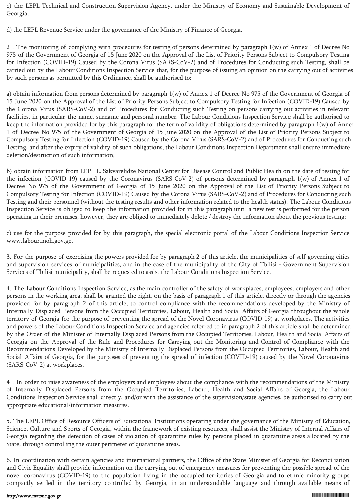c) the LEPL Technical and Construction Supervision Agency, under the Ministry of Economy and Sustainable Development of Georgia;

d) the LEPL Revenue Service under the governance of the Ministry of Finance of Georgia.

 $2<sup>1</sup>$ . The monitoring of complying with procedures for testing of persons determined by paragraph 1(w) of Annex 1 of Decree No 975 of the Government of Georgia of 15 June 2020 on the Approval of the List of Priority Persons Subject to Compulsory Testing for Infection (COVID-19) Caused by the Corona Virus (SARS-CoV-2) and of Procedures for Conducting such Testing, shall be carried out by the Labour Conditions Inspection Service that, for the purpose of issuing an opinion on the carrying out of activities by such persons as permitted by this Ordinance, shall be authorised to:

a) obtain information from persons determined by paragraph 1(w) of Annex 1 of Decree No 975 of the Government of Georgia of 15 June 2020 on the Approval of the List of Priority Persons Subject to Compulsory Testing for Infection (COVID-19) Caused by the Corona Virus (SARS-CoV-2) and of Procedures for Conducting such Testing on persons carrying out activities in relevant facilities, in particular the name, surname and personal number. The Labour Conditions Inspection Service shall be authorised to keep the information provided for by this paragraph for the term of validity of obligations determined by paragraph 1(w) of Annex 1 of Decree No 975 of the Government of Georgia of 15 June 2020 on the Approval of the List of Priority Persons Subject to Compulsory Testing for Infection (COVID-19) Caused by the Corona Virus (SARS-CoV-2) and of Procedures for Conducting such Testing, and after the expiry of validity of such obligations, the Labour Conditions Inspection Department shall ensure immediate deletion/destruction of such information;

b) obtain information from LEPL L. Sakvarelidze National Center for Disease Control and Public Health on the date of testing for the infection (COVID-19) caused by the Coronavirus (SARS-CoV-2) of persons determined by paragraph 1(w) of Annex 1 of Decree No 975 of the Government of Georgia of 15 June 2020 on the Approval of the List of Priority Persons Subject to Compulsory Testing for Infection (COVID-19) Caused by the Corona Virus (SARS-CoV-2) and of Procedures for Conducting such Testing and their personnel (without the testing results and other information related to the health status). The Labour Conditions Inspection Service is obliged to keep the information provided for in this paragraph until a new test is performed for the person operating in their premises, however, they are obliged to immediately delete / destroy the information about the previous testing;

c) use for the purpose provided for by this paragraph, the special electronic portal of the Labour Conditions Inspection Service www.labour.moh.gov.ge.

3. For the purpose of exercising the powers provided for by paragraph 2 of this article, the municipalities of self-governing cities and supervision services of municipalities, and in the case of the municipality of the City of Tbilisi - Government Supervision Services of Tbilisi municipality, shall be requested to assist the Labour Conditions Inspection Service.

4. The Labour Conditions Inspection Service, as the main controller of the safety of workplaces, employees, employers and other persons in the working area, shall be granted the right, on the basis of paragraph 1 of this article, directly or through the agencies provided for by paragraph 2 of this article, to control compliance with the recommendations developed by the Ministry of Internally Displaced Persons from the Occupied Territories, Labour, Health and Social Affairs of Georgia throughout the whole territory of Georgia for the purpose of preventing the spread of the Novel Coronavirus (COVID-19) at workplaces. The activities and powers of the Labour Conditions Inspection Service and agencies referred to in paragraph 2 of this article shall be determined by the Order of the Minister of Internally Displaced Persons from the Occupied Territories, Labour, Health and Social Affairs of Georgia on the Approval of the Rule and Procedures for Carrying out the Monitoring and Control of Compliance with the Recommendations Developed by the Ministry of Internally Displaced Persons from the Occupied Territories, Labour, Health and Social Affairs of Georgia, for the purposes of preventing the spread of infection (COVID-19) caused by the Novel Coronavirus (SARS-CoV-2) at workplaces.

 $4<sup>1</sup>$ . In order to raise awareness of the employers and employees about the compliance with the recommendations of the Ministry of Internally Displaced Persons from the Occupied Territories, Labour, Health and Social Affairs of Georgia, the Labour Conditions Inspection Service shall directly, and/or with the assistance of the supervision/state agencies, be authorised to carry out appropriate educational/information measures.

5. The LEPL Office of Resource Officers of Educational Institutions operating under the governance of the Ministry of Education, Science, Culture and Sports of Georgia, within the framework of existing resources, shall assist the Ministry of Internal Affairs of Georgia regarding the detection of cases of violation of quarantine rules by persons placed in quarantine areas allocated by the State, through controlling the outer perimeter of quarantine areas.

6. In coordination with certain agencies and international partners, the Office of the State Minister of Georgia for Reconciliation and Civic Equality shall provide information on the carrying out of emergency measures for preventing the possible spread of the novel coronavirus (COVID-19) to the population living in the occupied territories of Georgia and to ethnic minority groups compactly settled in the territory controlled by Georgia, in an understandable language and through available means of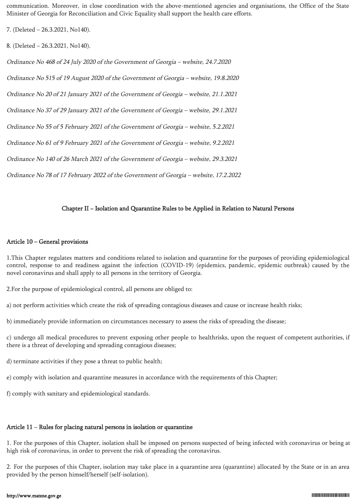communication. Moreover, in close coordination with the above-mentioned agencies and organisations, the Office of the State Minister of Georgia for Reconciliation and Civic Equality shall support the health care efforts.

7. (Deleted – 26.3.2021, No140).

8. (Deleted – 26.3.2021, No140).

Ordinance No 468 of 24 July 2020 of the Government of Georgia – website, 24.7.2020 Ordinance No 515 of 19 August 2020 of the Government of Georgia – website, 19.8.2020 Ordinance No 20 of 21 January 2021 of the Government of Georgia – website, 21.1.2021 Ordinance No 37 of 29 January 2021 of the Government of Georgia – website, 29.1.2021 Ordinance No 55 of 5 February 2021 of the Government of Georgia – website, 5.2.2021 Ordinance No 61 of 9 February 2021 of the Government of Georgia – website, 9.2.2021 Ordinance No 140 of 26 March 2021 of the Government of Georgia – website, 29.3.2021 Ordinance No 78 of 17 February 2022 of the Government of Georgia – website, 17.2.2022

## Chapter II − Isolation and Quarantine Rules to be Applied in Relation to Natural Persons

#### Article 10 – General provisions

1.This Chapter regulates matters and conditions related to isolation and quarantine for the purposes of providing epidemiological control, response to and readiness against the infection (COVID-19) (epidemics, pandemic, epidemic outbreak) caused by the novel coronavirus and shall apply to all persons in the territory of Georgia.

2.For the purpose of epidemiological control, all persons are obliged to:

a) not perform activities which create the risk of spreading contagious diseases and cause or increase health risks;

b) immediately provide information on circumstances necessary to assess the risks of spreading the disease;

c) undergo all medical procedures to prevent exposing other people to healthrisks, upon the request of competent authorities, if there is a threat of developing and spreading contagious diseases;

d) terminate activities if they pose a threat to public health;

e) comply with isolation and quarantine measures in accordance with the requirements of this Chapter;

f) comply with sanitary and epidemiological standards.

#### Article 11 − Rules for placing natural persons in isolation or quarantine

1. For the purposes of this Chapter, isolation shall be imposed on persons suspected of being infected with coronavirus or being at high risk of coronavirus, in order to prevent the risk of spreading the coronavirus.

2. For the purposes of this Chapter, isolation may take place in a quarantine area (quarantine) allocated by the State or in an area provided by the person himself/herself (self-isolation).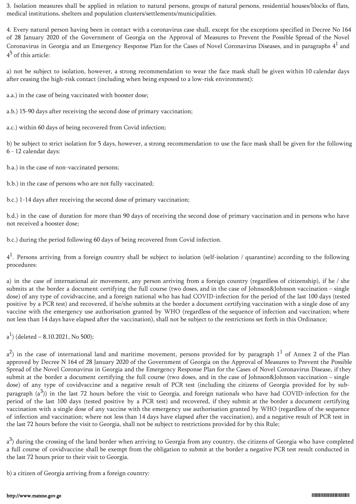3. Isolation measures shall be applied in relation to natural persons, groups of natural persons, residential houses/blocks of flats, medical institutions, shelters and population clusters/settlements/municipalities.

4. Every natural person having been in contact with a coronavirus case shall, except for the exceptions specified in Decree No 164 of 28 January 2020 of the Government of Georgia on the Approval of Measures to Prevent the Possible Spread of the Novel Coronavirus in Georgia and an Emergency Response Plan for the Cases of Novel Coronavirus Diseases, and in paragraphs  $4^1$  and  $4^5$  of this article:

a) not be subject to isolation, however, a strong recommendation to wear the face mask shall be given within 10 calendar days after ceasing the high-risk contact (including when being exposed to a low-risk environment):

a.a.) in the case of being vaccinated with booster dose;

a.b.) 15-90 days after receiving the second dose of primary vaccination;

a.c.) within 60 days of being recovered from Covid infection;

b) be subject to strict isolation for 5 days, however, a strong recommendation to use the face mask shall be given for the following 6 - 12 calendar days:

b.a.) in the case of non-vaccinated persons;

b.b.) in the case of persons who are not fully vaccinated;

b.c.) 1-14 days after receiving the second dose of primary vaccination;

b.d.) in the case of duration for more than 90 days of receiving the second dose of primary vaccination and in persons who have not received a booster dose;

b.c.) during the period following 60 days of being recovered from Covid infection.

 $4<sup>1</sup>$ . Persons arriving from a foreign country shall be subject to isolation (self-isolation / quarantine) according to the following procedures:

a) in the case of international air movement, any person arriving from a foreign country (regardless of citizenship), if he / she submits at the border a document certifying the full course (two doses, and in the case of Johnson&Johnson vaccination – single dose) of any type of covidvaccine, and a foreign national who has had COVID-infection for the period of the last 100 days (tested positive by a PCR test) and recovered, if he/she submits at the border a document certifying vaccination with a single dose of any vaccine with the emergency use authorisation granted by WHO (regardless of the sequence of infection and vaccination; where not less than 14 days have elapsed after the vaccination), shall not be subject to the restrictions set forth in this Ordinance;

 $a^1$ ) (deleted – 8.10.2021, No 500);

 $a<sup>2</sup>$ ) in the case of international land and maritime movement, persons provided for by paragraph  $1<sup>1</sup>$  of Annex 2 of the Plan approved by Decree N 164 of 28 January 2020 of the Government of Georgia on the Approval of Measures to Prevent the Possible Spread of the Novel Coronavirus in Georgia and the Emergency Response Plan for the Cases of Novel Coronavirus Disease, if they submit at the border a document certifying the full course (two doses, and in the case of Johnson&Johnson vaccination – single dose) of any type of covidvaccine and a negative result of PCR test (including the citizens of Georgia provided for by subparagraph  $(a^3)$ ) in the last 72 hours before the visit to Georgia, and foreign nationals who have had COVID-infection for the period of the last 100 days (tested positive by a PCR test) and recovered, if they submit at the border a document certifying vaccination with a single dose of any vaccine with the emergency use authorisation granted by WHO (regardless of the sequence of infection and vaccination; where not less than 14 days have elapsed after the vaccination), and a negative result of PCR test in the last 72 hours before the visit to Georgia, shall not be subject to restrictions provided for by this Rule;

a<sup>3</sup>) during the crossing of the land border when arriving to Georgia from any country, the citizens of Georgia who have completed a full course of covidvaccine shall be exempt from the obligation to submit at the border a negative PCR test result conducted in the last 72 hours prior to their visit to Georgia.

b) a citizen of Georgia arriving from a foreign country: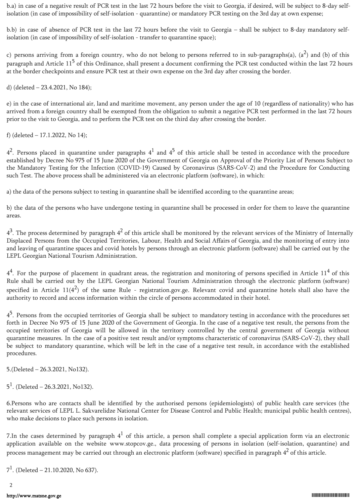b.a) in case of a negative result of PCR test in the last 72 hours before the visit to Georgia, if desired, will be subject to 8-day selfisolation (in case of impossibility of self-isolation - quarantine) or mandatory PCR testing on the 3rd day at own expense;

b.b) in case of absence of PCR test in the last 72 hours before the visit to Georgia – shall be subject to 8-day mandatory selfisolation (in case of impossibility of self-isolation - transfer to quarantine space);

c) persons arriving from a foreign country, who do not belong to persons referred to in sub-paragraphs(a), (a<sup>2</sup>) and (b) of this paragraph and Article  $11<sup>5</sup>$  of this Ordinance, shall present a document confirming the PCR test conducted within the last 72 hours at the border checkpoints and ensure PCR test at their own expense on the 3rd day after crossing the border.

d) (deleted – 23.4.2021, No 184);

e) in the case of international air, land and maritime movement, any person under the age of 10 (regardless of nationality) who has arrived from a foreign country shall be exempted from the obligation to submit a negative PCR test performed in the last 72 hours prior to the visit to Georgia, and to perform the PCR test on the third day after crossing the border.

f) (deleted – 17.1.2022, No 14);

 $4^2$ . Persons placed in quarantine under paragraphs  $4^1$  and  $4^5$  of this article shall be tested in accordance with the procedure established by Decree No 975 of 15 June 2020 of the Government of Georgia on Approval of the Priority List of Persons Subject to the Mandatory Testing for the Infection (COVID-19) Caused by Coronavirus (SARS-CoV-2) and the Procedure for Conducting such Test. The above process shall be administered via an electronic platform (software), in which:

a) the data of the persons subject to testing in quarantine shall be identified according to the quarantine areas;

b) the data of the persons who have undergone testing in quarantine shall be processed in order for them to leave the quarantine areas.

 $4^3$ . The process determined by paragraph  $4^2$  of this article shall be monitored by the relevant services of the Ministry of Internally Displaced Persons from the Occupied Territories, Labour, Health and Social Affairs of Georgia, and the monitoring of entry into and leaving of quarantine spaces and covid hotels by persons through an electronic platform (software) shall be carried out by the LEPL Georgian National Tourism Administration.

 $4^4$ . For the purpose of placement in quadrant areas, the registration and monitoring of persons specified in Article  $11^4$  of this Rule shall be carried out by the LEPL Georgian National Tourism Administration through the electronic platform (software) specified in Article  $11(4^2)$  of the same Rule - registration.gov.ge. Relevant covid and quarantine hotels shall also have the authority to record and access information within the circle of persons accommodated in their hotel.

4<sup>5</sup>. Persons from the occupied territories of Georgia shall be subject to mandatory testing in accordance with the procedures set forth in Decree No 975 of 15 June 2020 of the Government of Georgia. In the case of a negative test result, the persons from the occupied territories of Georgia will be allowed in the territory controlled by the central government of Georgia without quarantine measures. In the case of a positive test result and/or symptoms characteristic of coronavirus (SARS-CoV-2), they shall be subject to mandatory quarantine, which will be left in the case of a negative test result, in accordance with the established procedures.

5.(Deleted – 26.3.2021, No132).

 $5<sup>1</sup>$ . (Deleted – 26.3.2021, No132).

6.Persons who are contacts shall be identified by the authorised persons (epidemiologists) of public health care services (the relevant services of LEPL L. Sakvarelidze National Center for Disease Control and Public Health; municipal public health centres), who make decisions to place such persons in isolation.

7.In the cases determined by paragraph  $4^1$  of this article, a person shall complete a special application form via an electronic application available on the website www.stopcov.ge., data processing of persons in isolation (self-isolation, quarantine) and process management may be carried out through an electronic platform (software) specified in paragraph  $4^2$  of this article.

 $7<sup>1</sup>$ . (Deleted – 21.10.2020, No 637).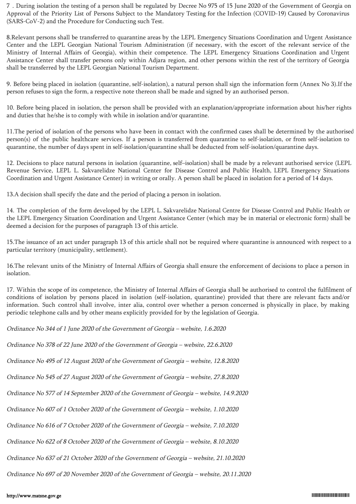7 . During isolation the testing of a person shall be regulated by Decree No 975 of 15 June 2020 of the Government of Georgia on Approval of the Priority List of Persons Subject to the Mandatory Testing for the Infection (COVID-19) Caused by Coronavirus (SARS-CoV-2) and the Procedure for Conducting such Test.

8.Relevant persons shall be transferred to quarantine areas by the LEPL Emergency Situations Coordination and Urgent Assistance Center and the LEPL Georgian National Tourism Administration (if necessary, with the escort of the relevant service of the Ministry of Internal Affairs of Georgia), within their competence. The LEPL Emergency Situations Coordination and Urgent Assistance Center shall transfer persons only within Adjara region, and other persons within the rest of the territory of Georgia shall be transferred by the LEPL Georgian National Tourism Department.

9. Before being placed in isolation (quarantine, self-isolation), a natural person shall sign the information form (Annex No 3).If the person refuses to sign the form, a respective note thereon shall be made and signed by an authorised person.

10. Before being placed in isolation, the person shall be provided with an explanation/appropriate information about his/her rights and duties that he/she is to comply with while in isolation and/or quarantine.

11.The period of isolation of the persons who have been in contact with the confirmed cases shall be determined by the authorised person(s) of the public healthcare services. If a person is transferred from quarantine to self-isolation, or from self-isolation to quarantine, the number of days spent in self-isolation/quarantine shall be deducted from self-isolation/quarantine days.

12. Decisions to place natural persons in isolation (quarantine, self–isolation) shall be made by a relevant authorised service (LEPL Revenue Service, LEPL L. Sakvarelidze National Center for Disease Control and Public Health, LEPL Emergency Situations Coordination and Urgent Assistance Center) in writing or orally. A person shall be placed in isolation for a period of 14 days.

13.A decision shall specify the date and the period of placing a person in isolation.

14. The completion of the form developed by the LEPL L. Sakvarelidze National Centre for Disease Control and Public Health or the LEPL Emergency Situation Coordination and Urgent Assistance Center (which may be in material or electronic form) shall be deemed a decision for the purposes of paragraph 13 of this article.

15.The issuance of an act under paragraph 13 of this article shall not be required where quarantine is announced with respect to a particular territory (municipality, settlement).

16.The relevant units of the Ministry of Internal Affairs of Georgia shall ensure the enforcement of decisions to place a person in isolation.

17. Within the scope of its competence, the Ministry of Internal Affairs of Georgia shall be authorised to control the fulfilment of conditions of isolation by persons placed in isolation (self-isolation, quarantine) provided that there are relevant facts and/or information. Such control shall involve, inter alia, control over whether a person concerned is physically in place, by making periodic telephone calls and by other means explicitly provided for by the legislation of Georgia.

Ordinance No 344 of 1 June 2020 of the Government of Georgia – website, 1.6.2020

Ordinance No 378 of 22 June 2020 of the Government of Georgia – website, 22.6.2020

Ordinance No 495 of 12 August 2020 of the Government of Georgia – website, 12.8.2020

Ordinance No 545 of 27 August 2020 of the Government of Georgia – website, 27.8.2020

Ordinance No 577 of 14 September 2020 of the Government of Georgia – website, 14.9.2020

Ordinance No 607 of 1 October 2020 of the Government of Georgia – website, 1.10.2020

Ordinance No 616 of 7 October 2020 of the Government of Georgia – website, 7.10.2020

Ordinance No 622 of 8 October 2020 of the Government of Georgia – website, 8.10.2020

Ordinance No 637 of 21 October 2020 of the Government of Georgia – website, 21.10.2020

Ordinance No 697 of 20 November 2020 of the Government of Georgia – website, 20.11.2020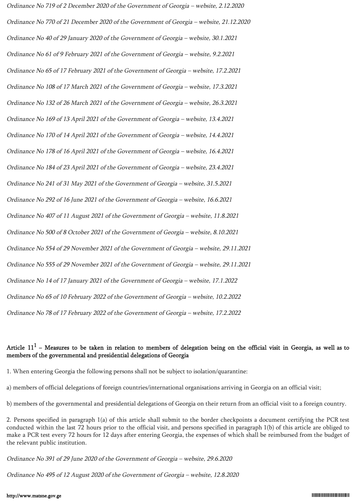Ordinance No 719 of 2 December 2020 of the Government of Georgia – website, 2.12.2020 Ordinance No 770 of 21 December 2020 of the Government of Georgia – website, 21.12.2020 Ordinance No 40 of 29 January 2020 of the Government of Georgia – website, 30.1.2021 Ordinance No 61 of 9 February 2021 of the Government of Georgia – website, 9.2.2021 Ordinance No 65 of 17 February 2021 of the Government of Georgia – website, 17.2.2021 Ordinance No 108 of 17 March 2021 of the Government of Georgia – website, 17.3.2021 Ordinance No 132 of 26 March 2021 of the Government of Georgia – website, 26.3.2021 Ordinance No 169 of 13 April 2021 of the Government of Georgia – website, 13.4.2021 Ordinance No 170 of 14 April 2021 of the Government of Georgia – website, 14.4.2021 Ordinance No 178 of 16 April 2021 of the Government of Georgia – website, 16.4.2021 Ordinance No 184 of 23 April 2021 of the Government of Georgia – website, 23.4.2021 Ordinance No 241 of 31 May 2021 of the Government of Georgia – website, 31.5.2021 Ordinance No 292 of 16 June 2021 of the Government of Georgia – website, 16.6.2021 Ordinance No 407 of 11 August 2021 of the Government of Georgia – website, 11.8.2021 Ordinance No 500 of 8 October 2021 of the Government of Georgia – website, 8.10.2021 Ordinance No 554 of 29 November 2021 of the Government of Georgia – website, 29.11.2021 Ordinance No 555 of 29 November 2021 of the Government of Georgia – website, 29.11.2021 Ordinance No 14 of 17 January 2021 of the Government of Georgia – website, 17.1.2022 Ordinance No 65 of 10 February 2022 of the Government of Georgia – website, 10.2.2022 Ordinance No 78 of 17 February 2022 of the Government of Georgia – website, 17.2.2022

# Article  $11<sup>1</sup>$  – Measures to be taken in relation to members of delegation being on the official visit in Georgia, as well as to members of the governmental and presidential delegations of Georgia

1. When entering Georgia the following persons shall not be subject to isolation/quarantine:

a) members of official delegations of foreign countries/international organisations arriving in Georgia on an official visit;

b) members of the governmental and presidential delegations of Georgia on their return from an official visit to a foreign country.

2. Persons specified in paragraph 1(a) of this article shall submit to the border checkpoints a document certifying the PCR test conducted within the last 72 hours prior to the official visit, and persons specified in paragraph 1(b) of this article are obliged to make a PCR test every 72 hours for 12 days after entering Georgia, the expenses of which shall be reimbursed from the budget of the relevant public institution.

Ordinance No 391 of 29 June 2020 of the Government of Georgia – website, 29.6.2020

Ordinance No 495 of 12 August 2020 of the Government of Georgia – website, 12.8.2020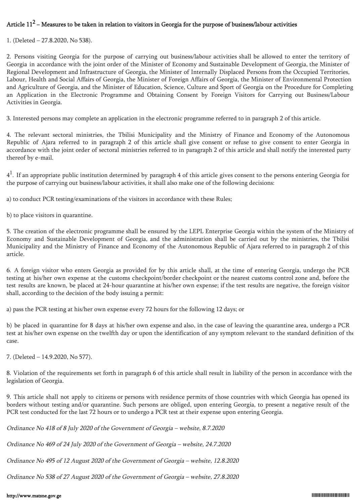# Article  $11^2$  – Measures to be taken in relation to visitors in Georgia for the purpose of business/labour activities

1. (Deleted – 27.8.2020, No 538).

2. Persons visiting Georgia for the purpose of carrying out business/labour activities shall be allowed to enter the territory of Georgia in accordance with the joint order of the Minister of Economy and Sustainable Development of Georgia, the Minister of Regional Development and Infrastructure of Georgia, the Minister of Internally Displaced Persons from the Occupied Territories, Labour, Health and Social Affairs of Georgia, the Minister of Foreign Affairs of Georgia, the Minister of Environmental Protection and Agriculture of Georgia, and the Minister of Education, Science, Culture and Sport of Georgia on the Procedure for Completing an Application in the Electronic Programme and Obtaining Consent by Foreign Visitors for Carrying out Business/Labour Activities in Georgia.

3. Interested persons may complete an application in the electronic programme referred to in paragraph 2 of this article.

4. The relevant sectoral ministries, the Tbilisi Municipality and the Ministry of Finance and Economy of the Autonomous Republic of Ajara referred to in paragraph 2 of this article shall give consent or refuse to give consent to enter Georgia in accordance with the joint order of sectoral ministries referred to in paragraph 2 of this article and shall notify the interested party thereof by e-mail.

 $4<sup>1</sup>$ . If an appropriate public institution determined by paragraph 4 of this article gives consent to the persons entering Georgia for the purpose of carrying out business/labour activities, it shall also make one of the following decisions:

a) to conduct PCR testing/examinations of the visitors in accordance with these Rules;

b) to place visitors in quarantine.

5. The creation of the electronic programme shall be ensured by the LEPL Enterprise Georgia within the system of the Ministry of Economy and Sustainable Development of Georgia, and the administration shall be carried out by the ministries, the Tbilisi Municipality and the Ministry of Finance and Economy of the Autonomous Republic of Ajara referred to in paragraph 2 of this article.

6. A foreign visitor who enters Georgia as provided for by this article shall, at the time of entering Georgia, undergo the PCR testing at his/her own expense at the customs checkpoint/border checkpoint or the nearest customs control zone and, before the test results are known, be placed at 24-hour quarantine at his/her own expense; if the test results are negative, the foreign visitor shall, according to the decision of the body issuing a permit:

a) pass the PCR testing at his/her own expense every 72 hours for the following 12 days; or

b) be placed in quarantine for 8 days at his/her own expense and also, in the case of leaving the quarantine area, undergo a PCR test at his/her own expense on the twelfth day or upon the identification of any symptom relevant to the standard definition of the case.

7. (Deleted – 14.9.2020, No 577).

8. Violation of the requirements set forth in paragraph 6 of this article shall result in liability of the person in accordance with the legislation of Georgia.

9. This article shall not apply to citizens or persons with residence permits of those countries with which Georgia has opened its borders without testing and/or quarantine. Such persons are obliged, upon entering Georgia, to present a negative result of the PCR test conducted for the last 72 hours or to undergo a PCR test at their expense upon entering Georgia.

Ordinance No 418 of 8 July 2020 of the Government of Georgia – website, 8.7.2020

Ordinance No 469 of 24 July 2020 of the Government of Georgia – website, 24.7.2020

Ordinance No 495 of 12 August 2020 of the Government of Georgia – website, 12.8.2020

Ordinance No 538 of 27 August 2020 of the Government of Georgia – website, 27.8.2020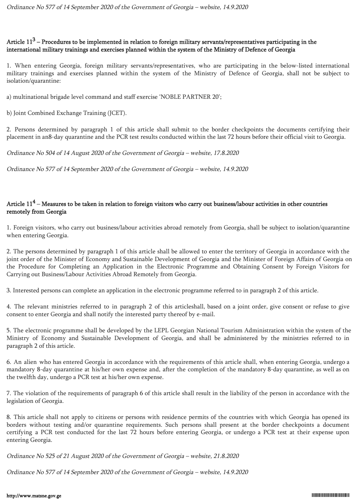# Article 11<sup>3</sup> – Procedures to be implemented in relation to foreign military servants/representatives participating in the international military trainings and exercises planned within the system of the Ministry of Defence of Georgia

1. When entering Georgia, foreign military servants/representatives, who are participating in the below-listed international military trainings and exercises planned within the system of the Ministry of Defence of Georgia, shall not be subject to isolation/quarantine:

a) multinational brigade level command and staff exercise 'NOBLE PARTNER 20';

b) Joint Combined Exchange Training (JCET).

2. Persons determined by paragraph 1 of this article shall submit to the border checkpoints the documents certifying their placement in an8-day quarantine and the PCR test results conducted within the last 72 hours before their official visit to Georgia.

Ordinance No 504 of 14 August 2020 of the Government of Georgia – website, 17.8.2020

Ordinance No 577 of 14 September 2020 of the Government of Georgia – website, 14.9.2020

# Article 11<sup>4</sup> – Measures to be taken in relation to foreign visitors who carry out business/labour activities in other countries remotely from Georgia

1. Foreign visitors, who carry out business/labour activities abroad remotely from Georgia, shall be subject to isolation/quarantine when entering Georgia.

2. The persons determined by paragraph 1 of this article shall be allowed to enter the territory of Georgia in accordance with the joint order of the Minister of Economy and Sustainable Development of Georgia and the Minister of Foreign Affairs of Georgia on the Procedure for Completing an Application in the Electronic Programme and Obtaining Consent by Foreign Visitors for Carrying out Business/Labour Activities Abroad Remotely from Georgia.

3. Interested persons can complete an application in the electronic programme referred to in paragraph 2 of this article.

4. The relevant ministries referred to in paragraph 2 of this articleshall, based on a joint order, give consent or refuse to give consent to enter Georgia and shall notify the interested party thereof by e-mail.

5. The electronic programme shall be developed by the LEPL Georgian National Tourism Administration within the system of the Ministry of Economy and Sustainable Development of Georgia, and shall be administered by the ministries referred to in paragraph 2 of this article.

6. An alien who has entered Georgia in accordance with the requirements of this article shall, when entering Georgia, undergo a mandatory 8-day quarantine at his/her own expense and, after the completion of the mandatory 8-day quarantine, as well as on the twelfth day, undergo a PCR test at his/her own expense.

7. The violation of the requirements of paragraph 6 of this article shall result in the liability of the person in accordance with the legislation of Georgia.

8. This article shall not apply to citizens or persons with residence permits of the countries with which Georgia has opened its borders without testing and/or quarantine requirements. Such persons shall present at the border checkpoints a document certifying a PCR test conducted for the last 72 hours before entering Georgia, or undergo a PCR test at their expense upon entering Georgia.

Ordinance No 525 of 21 August 2020 of the Government of Georgia – website, 21.8.2020

Ordinance No 577 of 14 September 2020 of the Government of Georgia – website, 14.9.2020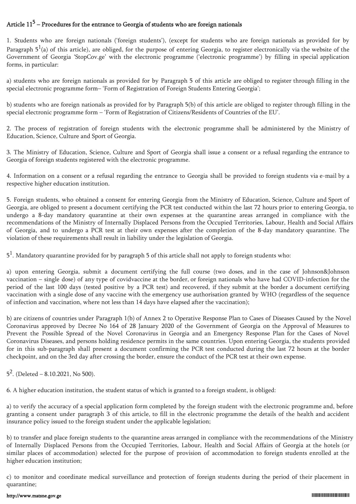# Article  $11<sup>5</sup>$  – Procedures for the entrance to Georgia of students who are foreign nationals

1. Students who are foreign nationals ('foreign students'), (except for students who are foreign nationals as provided for by Paragraph  $5^1$ (a) of this article), are obliged, for the purpose of entering Georgia, to register electronically via the website of the Government of Georgia 'StopCov.ge' with the electronic programme ('electronic programme') by filling in special application forms, in particular:

a) students who are foreign nationals as provided for by Paragraph 5 of this article are obliged to register through filling in the special electronic programme form– 'Form of Registration of Foreign Students Entering Georgia';

b) students who are foreign nationals as provided for by Paragraph 5(b) of this article are obliged to register through filling in the special electronic programme form – 'Form of Registration of Citizens/Residents of Countries of the EU'.

2. The process of registration of foreign students with the electronic programme shall be administered by the Ministry of Education, Science, Culture and Sport of Georgia.

3. The Ministry of Education, Science, Culture and Sport of Georgia shall issue a consent or a refusal regarding the entrance to Georgia of foreign students registered with the electronic programme.

4. Information on a consent or a refusal regarding the entrance to Georgia shall be provided to foreign students via e-mail by a respective higher education institution.

5. Foreign students, who obtained a consent for entering Georgia from the Ministry of Education, Science, Culture and Sport of Georgia, are obliged to present a document certifying the PCR test conducted within the last 72 hours prior to entering Georgia, to undergo a 8-day mandatory quarantine at their own expenses at the quarantine areas arranged in compliance with the recommendations of the Ministry of Internally Displaced Persons from the Occupied Territories, Labour, Health and Social Affairs of Georgia, and to undergo a PCR test at their own expenses after the completion of the 8-day mandatory quarantine. The violation of these requirements shall result in liability under the legislation of Georgia.

 $5^1$ . Mandatory quarantine provided for by paragraph 5 of this article shall not apply to foreign students who:

a) upon entering Georgia, submit a document certifying the full course (two doses, and in the case of Johnson&Johnson vaccination – single dose) of any type of covidvaccine at the border, or foreign nationals who have had COVID-infection for the period of the last 100 days (tested positive by a PCR test) and recovered, if they submit at the border a document certifying vaccination with a single dose of any vaccine with the emergency use authorisation granted by WHO (regardless of the sequence of infection and vaccination, where not less than 14 days have elapsed after the vaccination);

b) are citizens of countries under Paragraph 1(b) of Annex 2 to Operative Response Plan to Cases of Diseases Caused by the Novel Coronavirus approved by Decree No 164 of 28 January 2020 of the Government of Georgia on the Approval of Measures to Prevent the Possible Spread of the Novel Coronavirus in Georgia and an Emergency Response Plan for the Cases of Novel Coronavirus Diseases, and persons holding residence permits in the same countries. Upon entering Georgia, the students provided for in this sub-paragraph shall present a document confirming the PCR test conducted during the last 72 hours at the border checkpoint, and on the 3rd day after crossing the border, ensure the conduct of the PCR test at their own expense.

 $5^2$ . (Deleted – 8.10.2021, No 500).

6. A higher education institution, the student status of which is granted to a foreign student, is obliged:

a) to verify the accuracy of a special application form completed by the foreign student with the electronic programme and, before granting a consent under paragraph 3 of this article, to fill in the electronic programme the details of the health and accident insurance policy issued to the foreign student under the applicable legislation;

b) to transfer and place foreign students to the quarantine areas arranged in compliance with the recommendations of the Ministry of Internally Displaced Persons from the Occupied Territories, Labour, Health and Social Affairs of Georgia at the hotels (or similar places of accommodation) selected for the purpose of provision of accommodation to foreign students enrolled at the higher education institution;

c) to monitor and coordinate medical surveillance and protection of foreign students during the period of their placement in quarantine;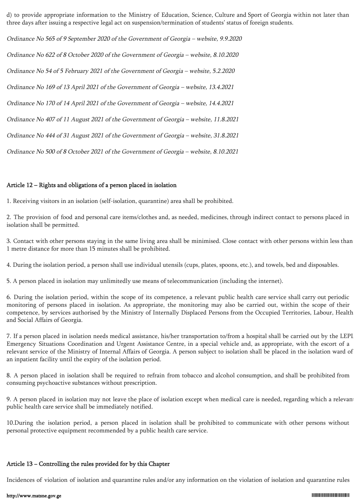d) to provide appropriate information to the Ministry of Education, Science, Culture and Sport of Georgia within not later than three days after issuing a respective legal act on suspension/termination of students' status of foreign students.

Ordinance No 565 of 9 September 2020 of the Government of Georgia – website, 9.9.2020 Ordinance No 622 of 8 October 2020 of the Government of Georgia – website, 8.10.2020 Ordinance No 54 of 5 February 2021 of the Government of Georgia – website, 5.2.2020 Ordinance No 169 of 13 April 2021 of the Government of Georgia – website, 13.4.2021 Ordinance No 170 of 14 April 2021 of the Government of Georgia – website, 14.4.2021 Ordinance No 407 of 11 August 2021 of the Government of Georgia – website, 11.8.2021 Ordinance No 444 of 31 August 2021 of the Government of Georgia – website, 31.8.2021 Ordinance No 500 of 8 October 2021 of the Government of Georgia – website, 8.10.2021

## Article 12 – Rights and obligations of a person placed in isolation

1. Receiving visitors in an isolation (self-isolation, quarantine) area shall be prohibited.

2. The provision of food and personal care items/clothes and, as needed, medicines, through indirect contact to persons placed in isolation shall be permitted.

3. Contact with other persons staying in the same living area shall be minimised. Close contact with other persons within less than 1 metre distance for more than 15 minutes shall be prohibited.

4. During the isolation period, a person shall use individual utensils (cups, plates, spoons, etc.), and towels, bed and disposables.

5. A person placed in isolation may unlimitedly use means of telecommunication (including the internet).

6. During the isolation period, within the scope of its competence, a relevant public health care service shall carry out periodic monitoring of persons placed in isolation. As appropriate, the monitoring may also be carried out, within the scope of their competence, by services authorised by the Ministry of Internally Displaced Persons from the Occupied Territories, Labour, Health and Social Affairs of Georgia.

7. If a person placed in isolation needs medical assistance, his/her transportation to/from a hospital shall be carried out by the LEPL Emergency Situations Coordination and Urgent Assistance Centre, in a special vehicle and, as appropriate, with the escort of a relevant service of the Ministry of Internal Affairs of Georgia. A person subject to isolation shall be placed in the isolation ward of an inpatient facility until the expiry of the isolation period.

8. A person placed in isolation shall be required to refrain from tobacco and alcohol consumption, and shall be prohibited from consuming psychoactive substances without prescription.

9. A person placed in isolation may not leave the place of isolation except when medical care is needed, regarding which a relevant public health care service shall be immediately notified.

10.During the isolation period, a person placed in isolation shall be prohibited to communicate with other persons without personal protective equipment recommended by a public health care service.

## Article 13 − Controlling the rules provided for by this Chapter

Incidences of violation of isolation and quarantine rules and/or any information on the violation of isolation and quarantine rules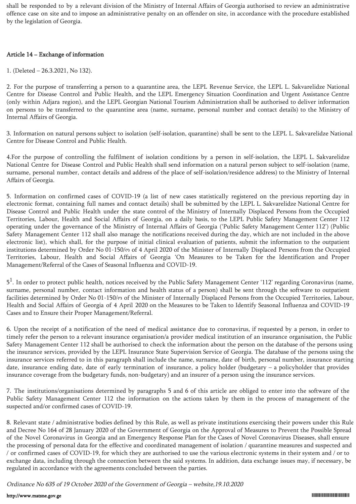shall be responded to by a relevant division of the Ministry of Internal Affairs of Georgia authorised to review an administrative offence case on site and to impose an administrative penalty on an offender on site, in accordance with the procedure established by the legislation of Georgia.

# Article 14 − Exchange of information

1. (Deleted – 26.3.2021, No 132).

2. For the purpose of transferring a person to a quarantine area, the LEPL Revenue Service, the LEPL L. Sakvarelidze National Centre for Disease Control and Public Health, and the LEPL Emergency Situation Coordination and Urgent Assistance Centre (only within Adjara region), and the LEPL Georgian National Tourism Administration shall be authorised to deliver information on persons to be transferred to the quarantine area (name, surname, personal number and contact details) to the Ministry of Internal Affairs of Georgia.

3. Information on natural persons subject to isolation (self-isolation, quarantine) shall be sent to the LEPL L. Sakvarelidze National Centre for Disease Control and Public Health.

4.For the purpose of controlling the fulfilment of isolation conditions by a person in self-isolation, the LEPL L. Sakvarelidze National Centre for Disease Control and Public Health shall send information on a natural person subject to self-isolation (name, surname, personal number, contact details and address of the place of self-isolation/residence address) to the Ministry of Internal Affairs of Georgia.

5. Information on confirmed cases of COVID-19 (a list of new cases statistically registered on the previous reporting day in electronic format, containing full names and contact details) shall be submitted by the LEPL L. Sakvarelidze National Centre for Disease Control and Public Health under the state control of the Ministry of Internally Displaced Persons from the Occupied Territories, Labour, Health and Social Affairs of Georgia, on a daily basis, to the LEPL Public Safety Management Center 112 operating under the governance of the Ministry of Internal Affairs of Georgia ('Public Safety Management Center 112') (Public Safety Management Center 112 shall also manage the notifications received during the day, which are not included in the above electronic list), which shall, for the purpose of initial clinical evaluation of patients, submit the information to the outpatient institutions determined by Order No 01-150/ო of 4 April 2020 of the Minister of Internally Displaced Persons from the Occupied Territories, Labour, Health and Social Affairs of Georgia 'On Measures to be Taken for the Identification and Proper Management/Referral of the Cases of Seasonal Influenza and COVID-19.

5<sup>1</sup>. In order to protect public health, notices received by the Public Safety Management Center '112' regarding Coronavirus (name, surname, personal number, contact information and health status of a person) shall be sent through the software to outpatient facilities determined by Order No 01-150/ო of the Minister of Internally Displaced Persons from the Occupied Territories, Labour, Health and Social Affairs of Georgia of 4 April 2020 on the Measures to be Taken to Identify Seasonal Influenza and COVID-19 Cases and to Ensure their Proper Management/Referral.

6. Upon the receipt of a notification of the need of medical assistance due to coronavirus, if requested by a person, in order to timely refer the person to a relevant insurance organisation/a provider medical institution of an insurance organisation, the Public Safety Management Center 112 shall be authorised to check the information about the person on the database of the persons using the insurance services, provided by the LEPL Insurance State Supervision Service of Georgia. The database of the persons using the insurance services referred to in this paragraph shall include the name, surname, date of birth, personal number, insurance starting date, insurance ending date, date of early termination of insurance, a policy holder (budgetary – a policyholder that provides insurance coverage from the budgetary funds, non-budgetary) and an insurer of a person using the insurance services.

7. The institutions/organisations determined by paragraphs 5 and 6 of this article are obliged to enter into the software of the Public Safety Management Center 112 the information on the actions taken by them in the process of management of the suspected and/or confirmed cases of COVID-19.

8. Relevant state / administrative bodies defined by this Rule, as well as private institutions exercising their powers under this Rule and Decree No 164 of 28 January 2020 of the Government of Georgia on the Approval of Measures to Prevent the Possible Spread of the Novel Coronavirus in Georgia and an Emergency Response Plan for the Cases of Novel Coronavirus Diseases, shall ensure the processing of personal data for the effective and coordinated management of isolation / quarantine measures and suspected and / or confirmed cases of COVID-19, for which they are authorised to use the various electronic systems in their system and / or to exchange data, including through the connection between the said systems. In addition, data exchange issues may, if necessary, be regulated in accordance with the agreements concluded between the parties.

Ordinance No 635 of 19 October 2020 of the Government of Georgia – website,19.10.2020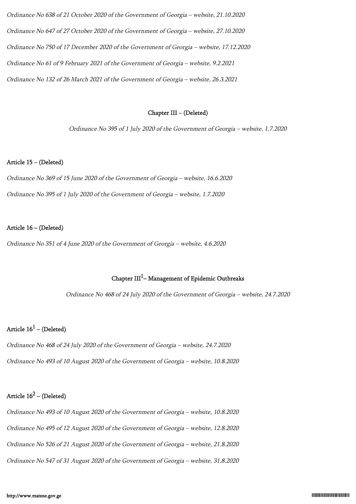Ordinance No 638 of 21 October 2020 of the Government of Georgia – website, 21.10.2020 Ordinance No 647 of 27 October 2020 of the Government of Georgia – website, 27.10.2020 Ordinance No 750 of 17 December 2020 of the Government of Georgia – website, 17.12.2020 Ordinance No 61 of 9 February 2021 of the Government of Georgia – website, 9.2.2021 Ordinance No 132 of 26 March 2021 of the Government of Georgia – website, 26.3.2021

## Chapter III − (Deleted)

Ordinance No 395 of 1 July 2020 of the Government of Georgia – website, 1.7.2020

#### Article 15 − (Deleted)

Ordinance No 369 of 15 June 2020 of the Government of Georgia – website, 16.6.2020 Ordinance No 395 of 1 July 2020 of the Government of Georgia – website, 1.7.2020

#### Article 16 – (Deleted)

Ordinance No 351 of 4 June 2020 of the Government of Georgia – website, 4.6.2020

# Chapter  $III<sup>1</sup>$ – Management of Epidemic Outbreaks

Ordinance No 468 of 24 July 2020 of the Government of Georgia – website, 24.7.2020

# Article  $16^1$  – (Deleted)

Ordinance No 468 of 24 July 2020 of the Government of Georgia – website, 24.7.2020 Ordinance No 493 of 10 August 2020 of the Government of Georgia – website, 10.8.2020

# Article  $16^2$  – (Deleted)

Ordinance No 493 of 10 August 2020 of the Government of Georgia – website, 10.8.2020 Ordinance No 495 of 12 August 2020 of the Government of Georgia – website, 12.8.2020 Ordinance No 526 of 21 August 2020 of the Government of Georgia – website, 21.8.2020 Ordinance No 547 of 31 August 2020 of the Government of Georgia – website, 31.8.2020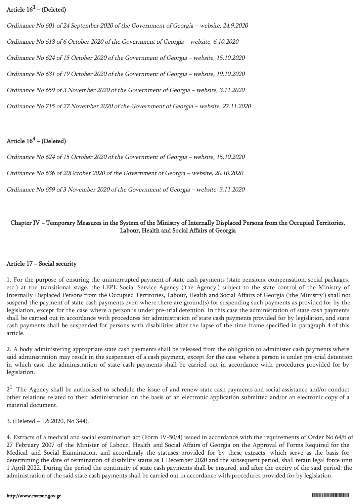# Article  $16^3$  – (Deleted)

Ordinance No 601 of 24 September 2020 of the Government of Georgia – website, 24.9.2020 Ordinance No 613 of 6 October 2020 of the Government of Georgia – website, 6.10.2020 Ordinance No 624 of 15 October 2020 of the Government of Georgia – website, 15.10.2020 Ordinance No 631 of 19 October 2020 of the Government of Georgia – website, 19.10.2020 Ordinance No 659 of 3 November 2020 of the Government of Georgia – website, 3.11.2020 Ordinance No 715 of 27 November 2020 of the Government of Georgia – website, 27.11.2020

# Article  $16^4$  – (Deleted)

Ordinance No 624 of 15 October 2020 of the Government of Georgia – website, 15.10.2020

Ordinance No 636 of 20October 2020 of the Government of Georgia – website, 20.10.2020

Ordinance No 659 of 3 November 2020 of the Government of Georgia – website, 3.11.2020

# Chapter IV − Temporary Measures in the System of the Ministry of Internally Displaced Persons from the Occupied Territories, Labour, Health and Social Affairs of Georgia

## Article 17 − Social security

1. For the purpose of ensuring the uninterrupted payment of state cash payments (state pensions, compensation, social packages, etc.) at the transitional stage, the LEPL Social Service Agency ('the Agency') subject to the state control of the Ministry of Internally Displaced Persons from the Occupied Territories, Labour, Health and Social Affairs of Georgia ('the Ministry') shall not suspend the payment of state cash payments even where there are ground(s) for suspending such payments as provided for by the legislation, except for the case where a person is under pre-trial detention. In this case the administration of state cash payments shall be carried out in accordance with procedures for administration of state cash payments provided for by legislation, and state cash payments shall be suspended for persons with disabilities after the lapse of the time frame specified in paragraph 4 of this article.

2. A body administering appropriate state cash payments shall be released from the obligation to administer cash payments where said administration may result in the suspension of a cash payment, except for the case where a person is under pre-trial detention, in which case the administration of state cash payments shall be carried out in accordance with procedures provided for by legislation.

 $2<sup>1</sup>$ . The Agency shall be authorised to schedule the issue of and renew state cash payments and social assistance and/or conduct other relations related to their administration on the basis of an electronic application submitted and/or an electronic copy of a material document.

3. (Deleted – 1.6.2020, No 344).

4. Extracts of a medical and social examination act (Form IV-50/4) issued in accordance with the requirements of Order No 64/ნ of 27 February 2007 of the Minister of Labour, Health and Social Affairs of Georgia on the Approval of Forms Required for the Medical and Social Examination, and accordingly the statuses provided for by these extracts, which serve as the basis for determining the date of termination of disability status as 1 December 2020 and the subsequent period, shall retain legal force until 1 April 2022. During the period the continuity of state cash payments shall be ensured, and after the expiry of the said period, the administration of the said state cash payments shall be carried out in accordance with procedures provided for by legislation.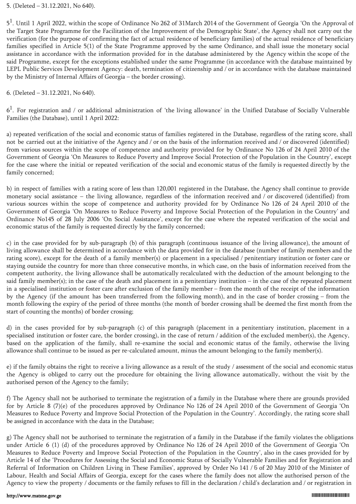5. (Deleted – 31.12.2021, No 640).

5<sup>1</sup>. Until 1 April 2022, within the scope of Ordinance No 262 of 31March 2014 of the Government of Georgia 'On the Approval of the Target State Programme for the Facilitation of the Improvement of the Demographic State', the Agency shall not carry out the verification (for the purpose of confirming the fact of actual residence of beneficiary families) of the actual residence of beneficiary families specified in Article 5(1) of the State Programme approved by the same Ordinance, and shall issue the monetary social assistance in accordance with the information provided for in the database administered by the Agency within the scope of the said Programme, except for the exceptions established under the same Programme (in accordance with the database maintained by LEPL Public Services Development Agency: death, termination of citizenship and / or in accordance with the database maintained by the Ministry of Internal Affairs of Georgia – the border crossing).

6. (Deleted – 31.12.2021, No 640).

 $6<sup>1</sup>$ . For registration and / or additional administration of 'the living allowance' in the Unified Database of Socially Vulnerable Families (the Database), until 1 April 2022:

a) repeated verification of the social and economic status of families registered in the Database, regardless of the rating score, shall not be carried out at the initiative of the Agency and / or on the basis of the information received and / or discovered (identified) from various sources within the scope of competence and authority provided for by Ordinance No 126 of 24 April 2010 of the Government of Georgia 'On Measures to Reduce Poverty and Improve Social Protection of the Population in the Country', except for the case where the initial or repeated verification of the social and economic status of the family is requested directly by the family concerned;

b) in respect of families with a rating score of less than 120,001 registered in the Database, the Agency shall continue to provide monetary social assistance – the living allowance, regardless of the information received and / or discovered (identified) from various sources within the scope of competence and authority provided for by Ordinance No 126 of 24 April 2010 of the Government of Georgia 'On Measures to Reduce Poverty and Improve Social Protection of the Population in the Country' and Ordinance No145 of 28 July 2006 'On Social Assistance', except for the case where the repeated verification of the social and economic status of the family is requested directly by the family concerned;

c) in the case provided for by sub-paragraph (b) of this paragraph (continuous issuance of the living allowance), the amount of living allowance shall be determined in accordance with the data provided for in the database (number of family members and the rating score), except for the death of a family member(s) or placement in a specialised / penitentiary institution or foster care or staying outside the country for more than three consecutive months, in which case, on the basis of information received from the competent authority, the living allowance shall be automatically recalculated with the deduction of the amount belonging to the said family member(s); in the case of the death and placement in a penitentiary institution – in the case of the repeated placement in a specialised institution or foster care after exclusion of the family member – from the month of the receipt of the information by the Agency (if the amount has been transferred from the following month), and in the case of border crossing – from the month following the expiry of the period of three months (the month of border crossing shall be deemed the first month from the start of counting the months) of border crossing;

d) in the cases provided for by sub-paragraph (c) of this paragraph (placement in a penitentiary institution, placement in a specialised institution or foster care, the border crossing), in the case of return / addition of the excluded member(s), the Agency, based on the application of the family, shall re-examine the social and economic status of the family, otherwise the living allowance shall continue to be issued as per re-calculated amount, minus the amount belonging to the family member(s).

e) if the family obtains the right to receive a living allowance as a result of the study / assessment of the social and economic status the Agency is obliged to carry out the procedure for obtaining the living allowance automatically, without the visit by the authorised person of the Agency to the family;

f) The Agency shall not be authorised to terminate the registration of a family in the Database where there are grounds provided for by Article 8 (7)(e) of the procedures approved by Ordinance No 126 of 24 April 2010 of the Government of Georgia 'On Measures to Reduce Poverty and Improve Social Protection of the Population in the Country'. Accordingly, the rating score shall be assigned in accordance with the data in the Database;

g) The Agency shall not be authorised to terminate the registration of a family in the Database if the family violates the obligations under Article 6 (1) (d) of the procedures approved by Ordinance No 126 of 24 April 2010 of the Government of Georgia 'On Measures to Reduce Poverty and Improve Social Protection of the Population in the Country', also in the cases provided for by Article 14 of the 'Procedures for Assessing the Social and Economic Status of Socially Vulnerable Families and for Registration and Referral of Information on Children Living in These Families', approved by Order No 141 / ნ of 20 May 2010 of the Minister of Labour, Health and Social Affairs of Georgia, except for the cases where the family does not allow the authorised person of the Agency to view the property / documents or the family refuses to fill in the declaration / child's declaration and / or registration in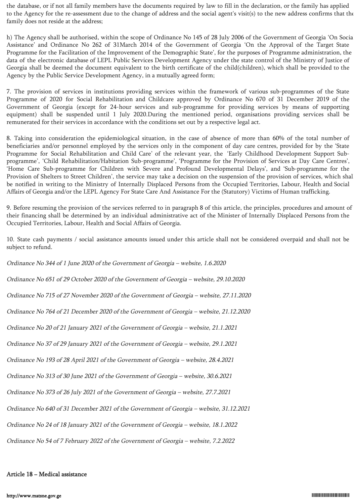the database, or if not all family members have the documents required by law to fill in the declaration, or the family has applied to the Agency for the re-assessment due to the change of address and the social agent's visit(s) to the new address confirms that the family does not reside at the address;

h) The Agency shall be authorised, within the scope of Ordinance No 145 of 28 July 2006 of the Government of Georgia 'On Social Assistance' and Ordinance No 262 of 31March 2014 of the Government of Georgia 'On the Approval of the Target State Programme for the Facilitation of the Improvement of the Demographic State', for the purposes of Programme administration, the data of the electronic database of LEPL Public Services Development Agency under the state control of the Ministry of Justice of Georgia shall be deemed the document equivalent to the birth certificate of the child(children), which shall be provided to the Agency by the Public Service Development Agency, in a mutually agreed form;

7. The provision of services in institutions providing services within the framework of various sub-programmes of the State Programme of 2020 for Social Rehabilitation and Childcare approved by Ordinance No 670 of 31 December 2019 of the Government of Georgia (except for 24-hour services and sub-programme for providing services by means of supporting equipment) shall be suspended until 1 July 2020.During the mentioned period, organisations providing services shall be remunerated for their services in accordance with the conditions set out by a respective legal act.

8. Taking into consideration the epidemiological situation, in the case of absence of more than 60% of the total number of beneficiaries and/or personnel employed by the services only in the component of day care centres, provided for by the 'State Programme for Social Rehabilitation and Child Care' of the relevant year, the 'Early Childhood Development Support Subprogramme', 'Child Rehabilitation/Habitation Sub-programme', 'Programme for the Provision of Services at Day Care Centres', 'Home Care Sub-programme for Children with Severe and Profound Developmental Delays', and 'Sub-programme for the Provision of Shelters to Street Children', the service may take a decision on the suspension of the provision of services, which shall be notified in writing to the Ministry of Internally Displaced Persons from the Occupied Territories, Labour, Health and Social Affairs of Georgia and/or the LEPL Agency For State Care And Assistance For the (Statutory) Victims of Human trafficking.

9. Before resuming the provision of the services referred to in paragraph 8 of this article, the principles, procedures and amount of their financing shall be determined by an individual administrative act of the Minister of Internally Displaced Persons from the Occupied Territories, Labour, Health and Social Affairs of Georgia.

10. State cash payments / social assistance amounts issued under this article shall not be considered overpaid and shall not be subject to refund.

Ordinance No 344 of 1 June 2020 of the Government of Georgia – website, 1.6.2020 Ordinance No 651 of 29 October 2020 of the Government of Georgia – website, 29.10.2020

Ordinance No 715 of 27 November 2020 of the Government of Georgia – website, 27.11.2020

Ordinance No 764 of 21 December 2020 of the Government of Georgia – website, 21.12.2020

Ordinance No 20 of 21 January 2021 of the Government of Georgia – website, 21.1.2021

Ordinance No 37 of 29 January 2021 of the Government of Georgia – website, 29.1.2021

Ordinance No 193 of 28 April 2021 of the Government of Georgia – website, 28.4.2021

Ordinance No 313 of 30 June 2021 of the Government of Georgia – website, 30.6.2021

Ordinance No 373 of 26 July 2021 of the Government of Georgia – website, 27.7.2021

Ordinance No 640 of 31 December 2021 of the Government of Georgia – website, 31.12.2021

Ordinance No 24 of 18 January 2021 of the Government of Georgia – website, 18.1.2022

Ordinance No 54 of 7 February 2022 of the Government of Georgia – website, 7.2.2022

# Article 18 − Medical assistance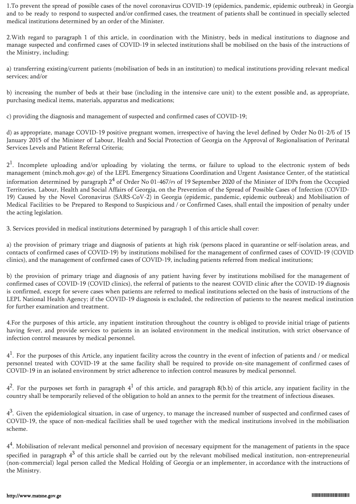1.To prevent the spread of possible cases of the novel coronavirus COVID-19 (epidemics, pandemic, epidemic outbreak) in Georgia and to be ready to respond to suspected and/or confirmed cases, the treatment of patients shall be continued in specially selected medical institutions determined by an order of the Minister.

2.With regard to paragraph 1 of this article, in coordination with the Ministry, beds in medical institutions to diagnose and manage suspected and confirmed cases of COVID-19 in selected institutions shall be mobilised on the basis of the instructions of the Ministry, including:

a) transferring existing/current patients (mobilisation of beds in an institution) to medical institutions providing relevant medical services; and/or

b) increasing the number of beds at their base (including in the intensive care unit) to the extent possible and, as appropriate, purchasing medical items, materials, apparatus and medications;

c) providing the diagnosis and management of suspected and confirmed cases of COVID-19;

d) as appropriate, manage COVID-19 positive pregnant women, irrespective of having the level defined by Order No 01-2/ნ of 15 January 2015 of the Minister of Labour, Health and Social Protection of Georgia on the Approval of Regionalisation of Perinatal Services Levels and Patient Referral Criteria;

 $2<sup>1</sup>$ . Incomplete uploading and/or uploading by violating the terms, or failure to upload to the electronic system of beds management (mincb.moh.gov.ge) of the LEPL Emergency Situations Coordination and Urgent Assistance Center, of the statistical information determined by paragraph 2<sup>4</sup> of Order No 01-467/ $\alpha$  of 19 September 2020 of the Minister of IDPs from the Occupied Territories, Labour, Health and Social Affairs of Georgia, on the Prevention of the Spread of Possible Cases of Infection (COVID-19) Caused by the Novel Coronavirus (SARS-CoV-2) in Georgia (epidemic, pandemic, epidemic outbreak) and Mobilisation of Medical Facilities to be Prepared to Respond to Suspicious and / or Confirmed Cases, shall entail the imposition of penalty under the acting legislation.

3. Services provided in medical institutions determined by paragraph 1 of this article shall cover:

a) the provision of primary triage and diagnosis of patients at high risk (persons placed in quarantine or self-isolation areas, and contacts of confirmed cases of COVID-19) by institutions mobilised for the management of confirmed cases of COVID-19 (COVID clinics), and the management of confirmed cases of COVID-19, including patients referred from medical institutions;

b) the provision of primary triage and diagnosis of any patient having fever by institutions mobilised for the management of confirmed cases of COVID-19 (COVID clinics), the referral of patients to the nearest COVID clinic after the COVID-19 diagnosis is confirmed, except for severe cases when patients are referred to medical institutions selected on the basis of instructions of the LEPL National Health Agency; if the COVID-19 diagnosis is excluded, the redirection of patients to the nearest medical institution for further examination and treatment.

4.For the purposes of this article, any inpatient institution throughout the country is obliged to provide initial triage of patients having fever, and provide services to patients in an isolated environment in the medical institution, with strict observance of infection control measures by medical personnel.

 $4<sup>1</sup>$ . For the purposes of this Article, any inpatient facility across the country in the event of infection of patients and / or medical personnel treated with COVID-19 at the same facility shall be required to provide on-site management of confirmed cases of COVID-19 in an isolated environment by strict adherence to infection control measures by medical personnel.

 $4^2$ . For the purposes set forth in paragraph  $4^1$  of this article, and paragraph 8(b.b) of this article, any inpatient facility in the country shall be temporarily relieved of the obligation to hold an annex to the permit for the treatment of infectious diseases.

 $4^3$ . Given the epidemiological situation, in case of urgency, to manage the increased number of suspected and confirmed cases of COVID-19, the space of non-medical facilities shall be used together with the medical institutions involved in the mobilisation scheme.

4<sup>4</sup>. Mobilisation of relevant medical personnel and provision of necessary equipment for the management of patients in the space specified in paragraph  $4^3$  of this article shall be carried out by the relevant mobilised medical institution, non-entrepreneurial (non-commercial) legal person called the Medical Holding of Georgia or an implementer, in accordance with the instructions of the Ministry.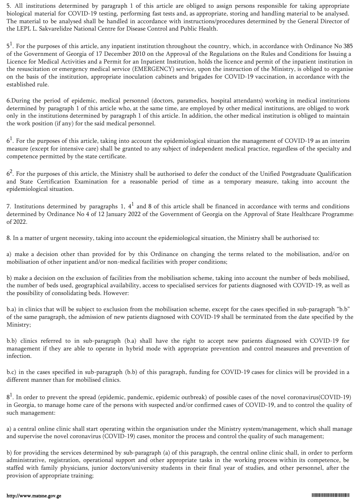5. All institutions determined by paragraph 1 of this article are obliged to assign persons responsible for taking appropriate biological material for COVID-19 testing, performing fast tests and, as appropriate, storing and handling material to be analysed. The material to be analysed shall be handled in accordance with instructions/procedures determined by the General Director of the LEPL L. Sakvarelidze National Centre for Disease Control and Public Health.

5<sup>1</sup>. For the purposes of this article, any inpatient institution throughout the country, which, in accordance with Ordinance No 385 of the Government of Georgia of 17 December 2010 on the Approval of the Regulations on the Rules and Conditions for Issuing a Licence for Medical Activities and a Permit for an Inpatient Institution, holds the licence and permit of the inpatient institution in the resuscitation or emergency medical service (EMERGENCY) service, upon the instruction of the Ministry, is obliged to organise on the basis of the institution, appropriate inoculation cabinets and brigades for COVID-19 vaccination, in accordance with the established rule.

6.During the period of epidemic, medical personnel (doctors, paramedics, hospital attendants) working in medical institutions determined by paragraph 1 of this article who, at the same time, are employed by other medical institutions, are obliged to work only in the institutions determined by paragraph 1 of this article. In addition, the other medical institution is obliged to maintain the work position (if any) for the said medical personnel.

 $6<sup>1</sup>$ . For the purposes of this article, taking into account the epidemiological situation the management of COVID-19 as an interim measure (except for intensive care) shall be granted to any subject of independent medical practice, regardless of the specialty and competence permitted by the state certificate.

 $6<sup>2</sup>$ . For the purposes of this article, the Ministry shall be authorised to defer the conduct of the Unified Postgraduate Qualification and State Certification Examination for a reasonable period of time as a temporary measure, taking into account the epidemiological situation.

7. Institutions determined by paragraphs 1,  $4^1$  and 8 of this article shall be financed in accordance with terms and conditions determined by Ordinance No 4 of 12 January 2022 of the Government of Georgia on the Approval of State Healthcare Programme of 2022.

8. In a matter of urgent necessity, taking into account the epidemiological situation, the Ministry shall be authorised to:

a) make a decision other than provided for by this Ordinance on changing the terms related to the mobilisation, and/or on mobilisation of other inpatient and/or non-medical facilities with proper conditions;

b) make a decision on the exclusion of facilities from the mobilisation scheme, taking into account the number of beds mobilised, the number of beds used, geographical availability, access to specialised services for patients diagnosed with COVID-19, as well as the possibility of consolidating beds. However:

b.a) in clinics that will be subject to exclusion from the mobilisation scheme, except for the cases specified in sub-paragraph "b.b" of the same paragraph, the admission of new patients diagnosed with COVID-19 shall be terminated from the date specified by the Ministry;

b.b) clinics referred to in sub-paragraph (b.a) shall have the right to accept new patients diagnosed with COVID-19 for management if they are able to operate in hybrid mode with appropriate prevention and control measures and prevention of infection.

b.c) in the cases specified in sub-paragraph (b.b) of this paragraph, funding for COVID-19 cases for clinics will be provided in a different manner than for mobilised clinics.

 $8<sup>1</sup>$ . In order to prevent the spread (epidemic, pandemic, epidemic outbreak) of possible cases of the novel coronavirus(COVID-19) in Georgia, to manage home care of the persons with suspected and/or confirmed cases of COVID-19, and to control the quality of such management:

a) a central online clinic shall start operating within the organisation under the Ministry system/management, which shall manage and supervise the novel coronavirus (COVID-19) cases, monitor the process and control the quality of such management;

b) for providing the services determined by sub-paragraph (a) of this paragraph, the central online clinic shall, in order to perform administrative, registration, operational support and other appropriate tasks in the working process within its competence, be staffed with family physicians, junior doctors/university students in their final year of studies, and other personnel, after the provision of appropriate training;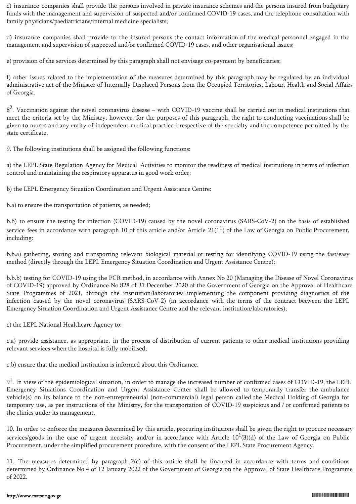c) insurance companies shall provide the persons involved in private insurance schemes and the persons insured from budgetary funds with the management and supervision of suspected and/or confirmed COVID-19 cases, and the telephone consultation with family physicians/paediatricians/internal medicine specialists;

d) insurance companies shall provide to the insured persons the contact information of the medical personnel engaged in the management and supervision of suspected and/or confirmed COVID-19 cases, and other organisational issues;

e) provision of the services determined by this paragraph shall not envisage co-payment by beneficiaries;

f) other issues related to the implementation of the measures determined by this paragraph may be regulated by an individual administrative act of the Minister of Internally Displaced Persons from the Occupied Territories, Labour, Health and Social Affairs of Georgia.

 $8<sup>2</sup>$ . Vaccination against the novel coronavirus disease – with COVID-19 vaccine shall be carried out in medical institutions that meet the criteria set by the Ministry, however, for the purposes of this paragraph, the right to conducting vaccinations shall be given to nurses and any entity of independent medical practice irrespective of the specialty and the competence permitted by the state certificate.

9. The following institutions shall be assigned the following functions:

a) the LEPL State Regulation Agency for Medical Activities to monitor the readiness of medical institutions in terms of infection control and maintaining the respiratory apparatus in good work order;

b) the LEPL Emergency Situation Coordination and Urgent Assistance Centre:

b.a) to ensure the transportation of patients, as needed;

b.b) to ensure the testing for infection (COVID-19) caused by the novel coronavirus (SARS-CoV-2) on the basis of established service fees in accordance with paragraph 10 of this article and/or Article 21(1<sup>1</sup>) of the Law of Georgia on Public Procurement, including:

b.b.a) gathering, storing and transporting relevant biological material or testing for identifying COVID-19 using the fast/easy method (directly through the LEPL Emergency Situation Coordination and Urgent Assistance Centre);

b.b.b) testing for COVID-19 using the PCR method, in accordance with Annex No 20 (Managing the Disease of Novel Coronavirus of COVID-19) approved by Ordinance No 828 of 31 December 2020 of the Government of Georgia on the Approval of Healthcare State Programmes of 2021, through the institution/laboratories implementing the component providing diagnostics of the infection caused by the novel coronavirus (SARS-CoV-2) (in accordance with the terms of the contract between the LEPL Emergency Situation Coordination and Urgent Assistance Centre and the relevant institution/laboratories);

c) the LEPL National Healthcare Agency to:

c.a) provide assistance, as appropriate, in the process of distribution of current patients to other medical institutions providing relevant services when the hospital is fully mobilised;

c.b) ensure that the medical institution is informed about this Ordinance.

 $9<sup>1</sup>$ . In view of the epidemiological situation, in order to manage the increased number of confirmed cases of COVID-19, the LEPL Emergency Situations Coordination and Urgent Assistance Center shall be allowed to temporarily transfer the ambulance vehicle(s) on its balance to the non-entrepreneurial (non-commercial) legal person called the Medical Holding of Georgia for temporary use, as per instructions of the Ministry, for the transportation of COVID-19 suspicious and / or confirmed patients to the clinics under its management.

10. In order to enforce the measures determined by this article, procuring institutions shall be given the right to procure necessary services/goods in the case of urgent necessity and/or in accordance with Article  $10^1(3)(d)$  of the Law of Georgia on Public Procurement, under the simplified procurement procedure, with the consent of the LEPL State Procurement Agency.

11. The measures determined by paragraph 2(c) of this article shall be financed in accordance with terms and conditions determined by Ordinance No 4 of 12 January 2022 of the Government of Georgia on the Approval of State Healthcare Programmes of 2022.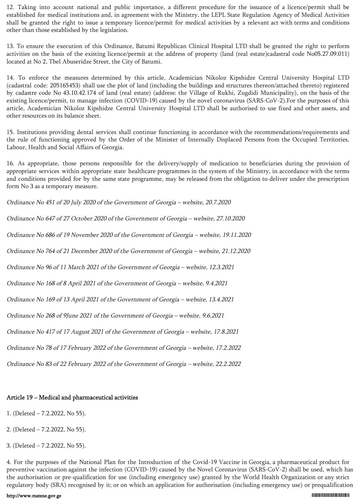12. Taking into account national and public importance, a different procedure for the issuance of a licence/permit shall be established for medical institutions and, in agreement with the Ministry, the LEPL State Regulation Agency of Medical Activities shall be granted the right to issue a temporary licence/permit for medical activities by a relevant act with terms and conditions other than those established by the legislation.

13. To ensure the execution of this Ordinance, Batumi Republican Clinical Hospital LTD shall be granted the right to perform activities on the basis of the existing licence/permit at the address of property (land (real estate)cadastral code No05.27.09.011) located at No 2, Tbel Abuseridze Street, the City of Batumi.

14. To enforce the measures determined by this article, Academician Nikoloz Kipshidze Central University Hospital LTD (cadastral code: 205165453) shall use the plot of land (including the buildings and structures thereon/attached thereto) registered by cadastre code No 43.10.42.174 of land (real estate) (address: the Village of Rukhi, Zugdidi Municipality), on the basis of the existing licence/permit, to manage infection (COVID-19) caused by the novel coronavirus (SARS-CoV-2).For the purposes of this article, Academician Nikoloz Kipshidze Central University Hospital LTD shall be authorised to use fixed and other assets, and other resources on its balance sheet.

15. Institutions providing dental services shall continue functioning in accordance with the recommendations/requirements and the rule of functioning approved by the Order of the Minister of Internally Displaced Persons from the Occupied Territories, Labour, Health and Social Affairs of Georgia.

16. As appropriate, those persons responsible for the delivery/supply of medication to beneficiaries during the provision of appropriate services within appropriate state healthcare programmes in the system of the Ministry, in accordance with the terms and conditions provided for by the same state programme, may be released from the obligation to deliver under the prescription form No 3 as a temporary measure.

Ordinance No 451 of 20 July 2020 of the Government of Georgia – website, 20.7.2020

Ordinance No 647 of 27 October 2020 of the Government of Georgia – website, 27.10.2020

Ordinance No 686 of 19 November 2020 of the Government of Georgia – website, 19.11.2020

Ordinance No 764 of 21 December 2020 of the Government of Georgia – website, 21.12.2020

Ordinance No 96 of 11 March 2021 of the Government of Georgia – website, 12.3.2021

Ordinance No 168 of 8 April 2021 of the Government of Georgia – website, 9.4.2021

Ordinance No 169 of 13 April 2021 of the Government of Georgia – website, 13.4.2021

Ordinance No 268 of 9June 2021 of the Government of Georgia – website, 9.6.2021

Ordinance No 417 of 17 August 2021 of the Government of Georgia – website, 17.8.2021

Ordinance No 78 of 17 February 2022 of the Government of Georgia – website, 17.2.2022

Ordinance No 83 of 22 February 2022 of the Government of Georgia – website, 22.2.2022

## Article 19 − Medical and pharmaceutical activities

- 1. (Deleted 7.2.2022, No 55).
- 2. (Deleted 7.2.2022, No 55).
- 3. (Deleted 7.2.2022, No 55).

4. For the purposes of the National Plan for the Introduction of the Covid-19 Vaccine in Georgia, a pharmaceutical product for preventive vaccination against the infection (COVID-19) caused by the Novel Coronavirus (SARS-CoV-2) shall be used, which has the authorisation or pre-qualification for use (including emergency use) granted by the World Health Organization or any strict regulatory body (SRA) recognised by it; or on which an application for authorisation (including emergency use) or prequalification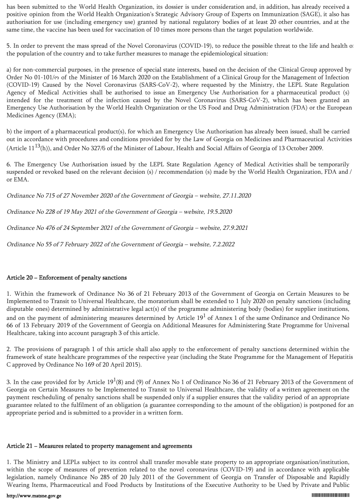has been submitted to the World Health Organization, its dossier is under consideration and, in addition, has already received a positive opinion from the World Health Organization's Strategic Advisory Group of Experts on Immunization (SAGE), it also has authorisation for use (including emergency use) granted by national regulatory bodies of at least 20 other countries, and at the same time, the vaccine has been used for vaccination of 10 times more persons than the target population worldwide.

5. In order to prevent the mass spread of the Novel Coronavirus (COVID-19), to reduce the possible threat to the life and health of the population of the country and to take further measures to manage the epidemiological situation:

a) for non-commercial purposes, in the presence of special state interests, based on the decision of the Clinical Group approved by Order No 01-101/ო of the Minister of 16 March 2020 on the Establishment of a Clinical Group for the Management of Infection (COVID-19) Caused by the Novel Coronavirus (SARS-CoV-2), where requested by the Ministry, the LEPL State Regulation Agency of Medical Activities shall be authorised to issue an Emergency Use Authorisation for a pharmaceutical product (s) intended for the treatment of the infection caused by the Novel Coronavirus (SARS-CoV-2), which has been granted an Emergency Use Authorisation by the World Health Organization or the US Food and Drug Administration (FDA) or the European Medicines Agency (EMA);

b) the import of a pharmaceutical product(s), for which an Emergency Use Authorisation has already been issued, shall be carried out in accordance with procedures and conditions provided for by the Law of Georgia on Medicines and Pharmaceutical Activities (Article  $11^{13}$ (h)), and Order No 327/6 of the Minister of Labour, Health and Social Affairs of Georgia of 13 October 2009.

6. The Emergency Use Authorisation issued by the LEPL State Regulation Agency of Medical Activities shall be temporarily suspended or revoked based on the relevant decision (s) / recommendation (s) made by the World Health Organization, FDA and / or EMA.

Ordinance No 715 of 27 November 2020 of the Government of Georgia – website, 27.11.2020

Ordinance No 228 of 19 May 2021 of the Government of Georgia – website, 19.5.2020

Ordinance No 476 of 24 September 2021 of the Government of Georgia – website, 27.9.2021

Ordinance No 55 of 7 February 2022 of the Government of Georgia – website, 7.2.2022

# Article 20 − Enforcement of penalty sanctions

1. Within the framework of Ordinance No 36 of 21 February 2013 of the Government of Georgia on Certain Measures to be Implemented to Transit to Universal Healthcare, the moratorium shall be extended to 1 July 2020 on penalty sanctions (including disputable ones) determined by administrative legal act(s) of the programme administering body (bodies) for supplier institutions, and on the payment of administering measures determined by Article  $19<sup>1</sup>$  of Annex 1 of the same Ordinance and Ordinance No 66 of 13 February 2019 of the Government of Georgia on Additional Measures for Administering State Programme for Universal Healthcare, taking into account paragraph 3 of this article.

2. The provisions of paragraph 1 of this article shall also apply to the enforcement of penalty sanctions determined within the framework of state healthcare programmes of the respective year (including the State Programme for the Management of Hepatitis C approved by Ordinance No 169 of 20 April 2015).

3. In the case provided for by Article  $19^1(8)$  and (9) of Annex No 1 of Ordinance No 36 of 21 February 2013 of the Government of Georgia on Certain Measures to be Implemented to Transit to Universal Healthcare, the validity of a written agreement on the payment rescheduling of penalty sanctions shall be suspended only if a supplier ensures that the validity period of an appropriate guarantee related to the fulfilment of an obligation (a guarantee corresponding to the amount of the obligation) is postponed for an appropriate period and is submitted to a provider in a written form.

# Article 21 − Measures related to property management and agreements

1. The Ministry and LEPLs subject to its control shall transfer movable state property to an appropriate organisation/institution, within the scope of measures of prevention related to the novel coronavirus (COVID-19) and in accordance with applicable legislation, namely Ordinance No 285 of 20 July 2011 of the Government of Georgia on Transfer of Disposable and Rapidly Wearing Items, Pharmaceutical and Food Products by Institutions of the Executive Authority to be Used by Private and Public